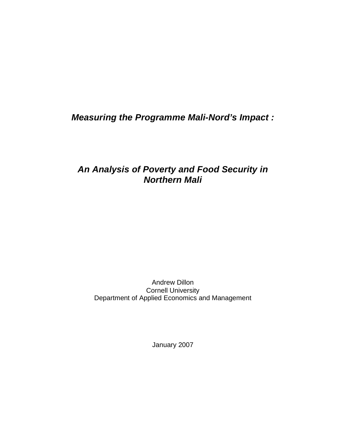*Measuring the Programme Mali-Nord's Impact :* 

## *An Analysis of Poverty and Food Security in Northern Mali*

Andrew Dillon Cornell University Department of Applied Economics and Management

January 2007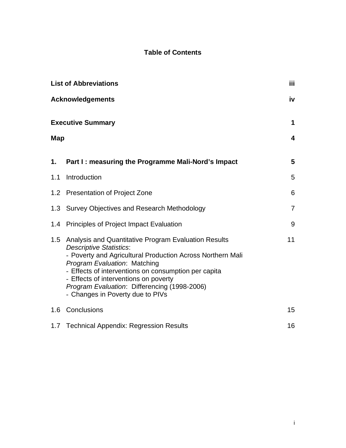### **Table of Contents**

| <b>List of Abbreviations</b> |                                                                                                                                                                                                                                                                                                                                                                           |                |
|------------------------------|---------------------------------------------------------------------------------------------------------------------------------------------------------------------------------------------------------------------------------------------------------------------------------------------------------------------------------------------------------------------------|----------------|
|                              | <b>Acknowledgements</b>                                                                                                                                                                                                                                                                                                                                                   | iv             |
|                              | <b>Executive Summary</b>                                                                                                                                                                                                                                                                                                                                                  | 1              |
| Map                          |                                                                                                                                                                                                                                                                                                                                                                           | 4              |
| 1.                           | Part I: measuring the Programme Mali-Nord's Impact                                                                                                                                                                                                                                                                                                                        | 5              |
| 1.1                          | Introduction                                                                                                                                                                                                                                                                                                                                                              | 5              |
| 1.2 <sub>2</sub>             | <b>Presentation of Project Zone</b>                                                                                                                                                                                                                                                                                                                                       | 6              |
|                              | 1.3 Survey Objectives and Research Methodology                                                                                                                                                                                                                                                                                                                            | $\overline{7}$ |
| 1.4                          | Principles of Project Impact Evaluation                                                                                                                                                                                                                                                                                                                                   | 9              |
| 1.5                          | Analysis and Quantitative Program Evaluation Results<br><b>Descriptive Statistics:</b><br>- Poverty and Agricultural Production Across Northern Mali<br>Program Evaluation: Matching<br>- Effects of interventions on consumption per capita<br>- Effects of interventions on poverty<br>Program Evaluation: Differencing (1998-2006)<br>- Changes in Poverty due to PIVs | 11             |
| 1.6                          | Conclusions                                                                                                                                                                                                                                                                                                                                                               | 15             |
|                              | 1.7 Technical Appendix: Regression Results                                                                                                                                                                                                                                                                                                                                | 16             |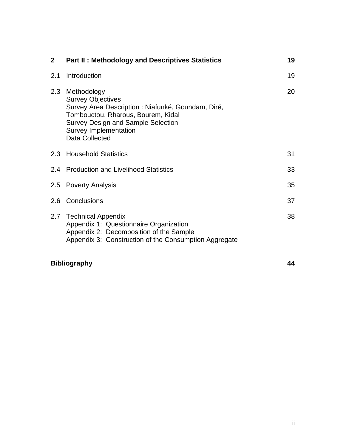| <b>Part II: Methodology and Descriptives Statistics</b>                                                                                                                                                                     | 19 |
|-----------------------------------------------------------------------------------------------------------------------------------------------------------------------------------------------------------------------------|----|
| Introduction                                                                                                                                                                                                                | 19 |
| Methodology<br><b>Survey Objectives</b><br>Survey Area Description : Niafunké, Goundam, Diré,<br>Tombouctou, Rharous, Bourem, Kidal<br><b>Survey Design and Sample Selection</b><br>Survey Implementation<br>Data Collected | 20 |
| 2.3 Household Statistics                                                                                                                                                                                                    | 31 |
| 2.4 Production and Livelihood Statistics                                                                                                                                                                                    | 33 |
| 2.5 Poverty Analysis                                                                                                                                                                                                        | 35 |
| Conclusions                                                                                                                                                                                                                 | 37 |
| <b>Technical Appendix</b><br>Appendix 1: Questionnaire Organization<br>Appendix 2: Decomposition of the Sample<br>Appendix 3: Construction of the Consumption Aggregate                                                     | 38 |
|                                                                                                                                                                                                                             |    |

## **Bibliography 44**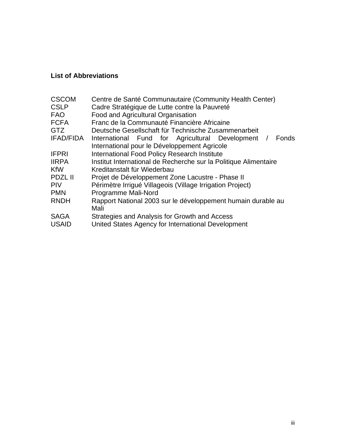### **List of Abbreviations**

| <b>CSCOM</b><br><b>CSLP</b> | Centre de Santé Communautaire (Community Health Center)<br>Cadre Stratégique de Lutte contre la Pauvreté |  |  |  |  |
|-----------------------------|----------------------------------------------------------------------------------------------------------|--|--|--|--|
| <b>FAO</b>                  | Food and Agricultural Organisation                                                                       |  |  |  |  |
| <b>FCFA</b>                 | Franc de la Communauté Financière Africaine                                                              |  |  |  |  |
| GTZ                         | Deutsche Gesellschaft für Technische Zusammenarbeit                                                      |  |  |  |  |
| IFAD/FIDA                   | International Fund for Agricultural Development<br>Fonds<br>$\sqrt{ }$                                   |  |  |  |  |
|                             | International pour le Développement Agricole                                                             |  |  |  |  |
| <b>IFPRI</b>                | <b>International Food Policy Research Institute</b>                                                      |  |  |  |  |
| <b>IIRPA</b>                | Institut International de Recherche sur la Politique Alimentaire                                         |  |  |  |  |
| <b>KfW</b>                  | Kreditanstalt für Wiederbau                                                                              |  |  |  |  |
| <b>PDZL II</b>              | Projet de Développement Zone Lacustre - Phase II                                                         |  |  |  |  |
| <b>PIV</b>                  | Périmètre Irrigué Villageois (Village Irrigation Project)                                                |  |  |  |  |
| <b>PMN</b>                  | Programme Mali-Nord                                                                                      |  |  |  |  |
| <b>RNDH</b>                 | Rapport National 2003 sur le développement humain durable au                                             |  |  |  |  |
|                             | Mali                                                                                                     |  |  |  |  |
| <b>SAGA</b>                 | Strategies and Analysis for Growth and Access                                                            |  |  |  |  |
| <b>USAID</b>                | United States Agency for International Development                                                       |  |  |  |  |
|                             |                                                                                                          |  |  |  |  |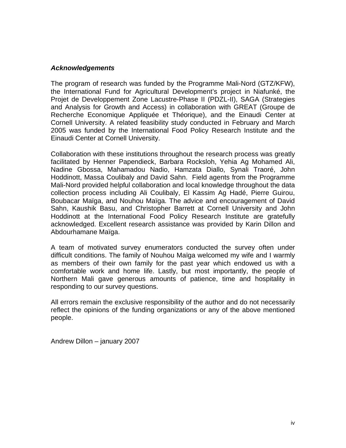#### *Acknowledgements*

The program of research was funded by the Programme Mali-Nord (GTZ/KFW), the International Fund for Agricultural Development's project in Niafunké, the Projet de Developpement Zone Lacustre-Phase II (PDZL-II), SAGA (Strategies and Analysis for Growth and Access) in collaboration with GREAT (Groupe de Recherche Economique Appliquée et Théorique), and the Einaudi Center at Cornell University. A related feasibility study conducted in February and March 2005 was funded by the International Food Policy Research Institute and the Einaudi Center at Cornell University.

Collaboration with these institutions throughout the research process was greatly facilitated by Henner Papendieck, Barbara Rocksloh, Yehia Ag Mohamed Ali, Nadine Gbossa, Mahamadou Nadio, Hamzata Diallo, Synali Traoré, John Hoddinott, Massa Coulibaly and David Sahn. Field agents from the Programme Mali-Nord provided helpful collaboration and local knowledge throughout the data collection process including Ali Coulibaly, El Kassim Ag Hadé, Pierre Guirou, Boubacar Maïga, and Nouhou Maïga. The advice and encouragement of David Sahn, Kaushik Basu, and Christopher Barrett at Cornell University and John Hoddinott at the International Food Policy Research Institute are gratefully acknowledged. Excellent research assistance was provided by Karin Dillon and Abdourhamane Maïga.

A team of motivated survey enumerators conducted the survey often under difficult conditions. The family of Nouhou Maïga welcomed my wife and I warmly as members of their own family for the past year which endowed us with a comfortable work and home life. Lastly, but most importantly, the people of Northern Mali gave generous amounts of patience, time and hospitality in responding to our survey questions.

All errors remain the exclusive responsibility of the author and do not necessarily reflect the opinions of the funding organizations or any of the above mentioned people.

Andrew Dillon – january 2007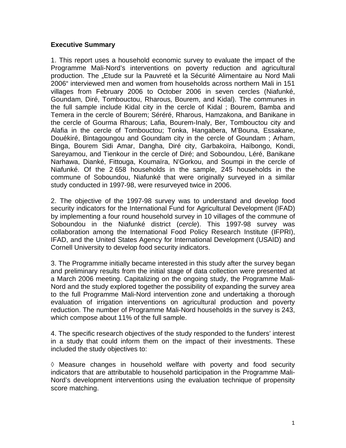#### **Executive Summary**

1. This report uses a household economic survey to evaluate the impact of the Programme Mali-Nord's interventions on poverty reduction and agricultural production. The "Etude sur la Pauvreté et la Sécurité Alimentaire au Nord Mali 2006" interviewed men and women from households across northern Mali in 151 villages from February 2006 to October 2006 in seven cercles (Niafunké, Goundam, Diré, Tombouctou, Rharous, Bourem, and Kidal). The communes in the full sample include Kidal city in the cercle of Kidal ; Bourem, Bamba and Temera in the cercle of Bourem; Séréré, Rharous, Hamzakona, and Banikane in the cercle of Gourma Rharous; Lafia, Bourem-Inaly, Ber, Tombouctou city and Alafia in the cercle of Tombouctou; Tonka, Hangabera, M'Bouna, Essakane, Douékiré, Bintagoungou and Goundam city in the cercle of Goundam ; Arham, Binga, Bourem Sidi Amar, Dangha, Diré city, Garbakoïra, Haïbongo, Kondi, Sareyamou, and Tienkour in the cercle of Diré; and Soboundou, Léré, Banikane Narhawa, Dianké, Fittouga, Koumaïra, N'Gorkou, and Soumpi in the cercle of Niafunké. Of the 2 658 households in the sample, 245 households in the commune of Soboundou, Niafunké that were originally surveyed in a similar study conducted in 1997-98, were resurveyed twice in 2006.

2. The objective of the 1997-98 survey was to understand and develop food security indicators for the International Fund for Agricultural Development (IFAD) by implementing a four round household survey in 10 villages of the commune of Soboundou in the Niafunké district (*cercle*). This 1997-98 survey was collaboration among the International Food Policy Research Institute (IFPRI), IFAD, and the United States Agency for International Development (USAID) and Cornell University to develop food security indicators.

3. The Programme initially became interested in this study after the survey began and preliminary results from the initial stage of data collection were presented at a March 2006 meeting. Capitalizing on the ongoing study, the Programme Mali-Nord and the study explored together the possibility of expanding the survey area to the full Programme Mali-Nord intervention zone and undertaking a thorough evaluation of irrigation interventions on agricultural production and poverty reduction. The number of Programme Mali-Nord households in the survey is 243, which compose about 11% of the full sample.

4. The specific research objectives of the study responded to the funders' interest in a study that could inform them on the impact of their investments. These included the study objectives to:

 $\Diamond$  Measure changes in household welfare with poverty and food security indicators that are attributable to household participation in the Programme Mali-Nord's development interventions using the evaluation technique of propensity score matching.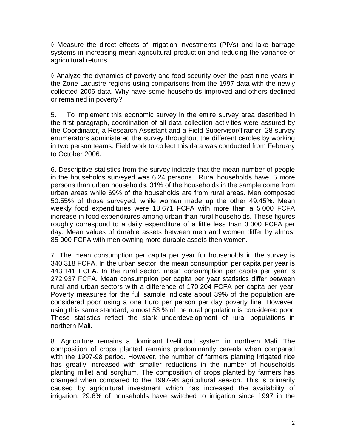$\Diamond$  Measure the direct effects of irrigation investments (PIVs) and lake barrage systems in increasing mean agricultural production and reducing the variance of agricultural returns.

 $\Diamond$  Analyze the dynamics of poverty and food security over the past nine years in the Zone Lacustre regions using comparisons from the 1997 data with the newly collected 2006 data. Why have some households improved and others declined or remained in poverty?

5. To implement this economic survey in the entire survey area described in the first paragraph, coordination of all data collection activities were assured by the Coordinator, a Research Assistant and a Field Supervisor/Trainer. 28 survey enumerators administered the survey throughout the different cercles by working in two person teams. Field work to collect this data was conducted from February to October 2006.

6. Descriptive statistics from the survey indicate that the mean number of people in the households surveyed was 6.24 persons. Rural households have .5 more persons than urban households. 31% of the households in the sample come from urban areas while 69% of the households are from rural areas. Men composed 50.55% of those surveyed, while women made up the other 49.45%. Mean weekly food expenditures were 18 671 FCFA with more than a 5 000 FCFA increase in food expenditures among urban than rural households. These figures roughly correspond to a daily expenditure of a little less than 3 000 FCFA per day. Mean values of durable assets between men and women differ by almost 85 000 FCFA with men owning more durable assets then women.

7. The mean consumption per capita per year for households in the survey is 340 318 FCFA. In the urban sector, the mean consumption per capita per year is 443 141 FCFA. In the rural sector, mean consumption per capita per year is 272 937 FCFA. Mean consumption per capita per year statistics differ between rural and urban sectors with a difference of 170 204 FCFA per capita per year. Poverty measures for the full sample indicate about 39% of the population are considered poor using a one Euro per person per day poverty line. However, using this same standard, almost 53 % of the rural population is considered poor. These statistics reflect the stark underdevelopment of rural populations in northern Mali.

8. Agriculture remains a dominant livelihood system in northern Mali. The composition of crops planted remains predominantly cereals when compared with the 1997-98 period. However, the number of farmers planting irrigated rice has greatly increased with smaller reductions in the number of households planting millet and sorghum. The composition of crops planted by farmers has changed when compared to the 1997-98 agricultural season. This is primarily caused by agricultural investment which has increased the availability of irrigation. 29.6% of households have switched to irrigation since 1997 in the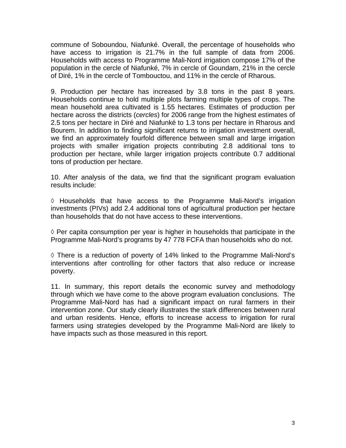commune of Soboundou, Niafunké. Overall, the percentage of households who have access to irrigation is 21.7% in the full sample of data from 2006. Households with access to Programme Mali-Nord irrigation compose 17% of the population in the cercle of Niafunké, 7% in cercle of Goundam, 21% in the cercle of Diré, 1% in the cercle of Tombouctou, and 11% in the cercle of Rharous.

9. Production per hectare has increased by 3.8 tons in the past 8 years. Households continue to hold multiple plots farming multiple types of crops. The mean household area cultivated is 1.55 hectares. Estimates of production per hectare across the districts (*cercles*) for 2006 range from the highest estimates of 2.5 tons per hectare in Diré and Niafunké to 1.3 tons per hectare in Rharous and Bourem. In addition to finding significant returns to irrigation investment overall, we find an approximately fourfold difference between small and large irrigation projects with smaller irrigation projects contributing 2.8 additional tons to production per hectare, while larger irrigation projects contribute 0.7 additional tons of production per hectare.

10. After analysis of the data, we find that the significant program evaluation results include:

 $\Diamond$  Households that have access to the Programme Mali-Nord's irrigation investments (PIVs) add 2.4 additional tons of agricultural production per hectare than households that do not have access to these interventions.

 $\Diamond$  Per capita consumption per year is higher in households that participate in the Programme Mali-Nord's programs by 47 778 FCFA than households who do not.

 There is a reduction of poverty of 14% linked to the Programme Mali-Nord's interventions after controlling for other factors that also reduce or increase poverty.

11. In summary, this report details the economic survey and methodology through which we have come to the above program evaluation conclusions. The Programme Mali-Nord has had a significant impact on rural farmers in their intervention zone. Our study clearly illustrates the stark differences between rural and urban residents. Hence, efforts to increase access to irrigation for rural farmers using strategies developed by the Programme Mali-Nord are likely to have impacts such as those measured in this report.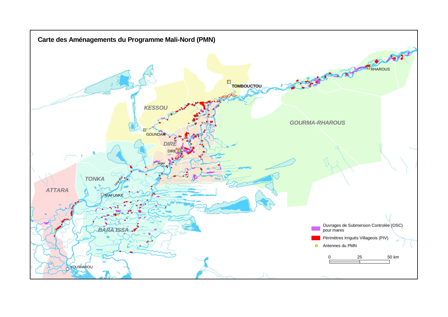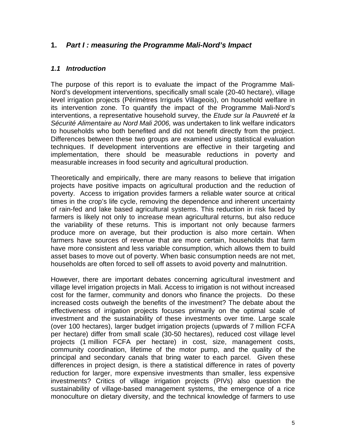#### **1.** *Part I : measuring the Programme Mali-Nord's Impact*

#### *1.1 Introduction*

The purpose of this report is to evaluate the impact of the Programme Mali-Nord's development interventions, specifically small scale (20-40 hectare), village level irrigation projects (Périmètres Irrigués Villageois), on household welfare in its intervention zone. To quantify the impact of the Programme Mali-Nord's interventions, a representative household survey, the *Etude sur la Pauvreté et la Sécurité Alimentaire au Nord Mali 2006,* was undertaken to link welfare indicators to households who both benefited and did not benefit directly from the project. Differences between these two groups are examined using statistical evaluation techniques. If development interventions are effective in their targeting and implementation, there should be measurable reductions in poverty and measurable increases in food security and agricultural production.

Theoretically and empirically, there are many reasons to believe that irrigation projects have positive impacts on agricultural production and the reduction of poverty. Access to irrigation provides farmers a reliable water source at critical times in the crop's life cycle, removing the dependence and inherent uncertainty of rain-fed and lake based agricultural systems. This reduction in risk faced by farmers is likely not only to increase mean agricultural returns, but also reduce the variability of these returns. This is important not only because farmers produce more on average, but their production is also more certain. When farmers have sources of revenue that are more certain, households that farm have more consistent and less variable consumption, which allows them to build asset bases to move out of poverty. When basic consumption needs are not met, households are often forced to sell off assets to avoid poverty and malnutrition.

However, there are important debates concerning agricultural investment and village level irrigation projects in Mali. Access to irrigation is not without increased cost for the farmer, community and donors who finance the projects. Do these increased costs outweigh the benefits of the investment? The debate about the effectiveness of irrigation projects focuses primarily on the optimal scale of investment and the sustainability of these investments over time. Large scale (over 100 hectares), larger budget irrigation projects (upwards of 7 million FCFA per hectare) differ from small scale (30-50 hectares), reduced cost village level projects (1 million FCFA per hectare) in cost, size, management costs, community coordination, lifetime of the motor pump, and the quality of the principal and secondary canals that bring water to each parcel. Given these differences in project design, is there a statistical difference in rates of poverty reduction for larger, more expensive investments than smaller, less expensive investments? Critics of village irrigation projects (PIVs) also question the sustainability of village-based management systems, the emergence of a rice monoculture on dietary diversity, and the technical knowledge of farmers to use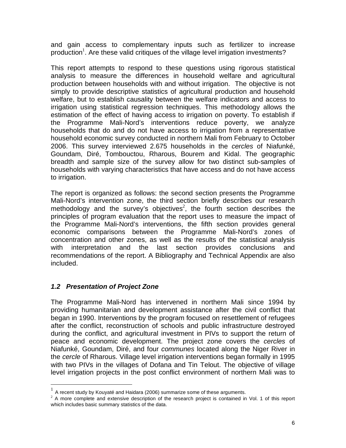and gain access to complementary inputs such as fertilizer to increase production<sup>1</sup>. Are these valid critiques of the village level irrigation investments?

This report attempts to respond to these questions using rigorous statistical analysis to measure the differences in household welfare and agricultural production between households with and without irrigation. The objective is not simply to provide descriptive statistics of agricultural production and household welfare, but to establish causality between the welfare indicators and access to irrigation using statistical regression techniques. This methodology allows the estimation of the effect of having access to irrigation on poverty. To establish if the Programme Mali-Nord's interventions reduce poverty, we analyze households that do and do not have access to irrigation from a representative household economic survey conducted in northern Mali from February to October 2006. This survey interviewed 2.675 households in the *cercles* of Niafunké, Goundam, Diré, Tombouctou, Rharous, Bourem and Kidal. The geographic breadth and sample size of the survey allow for two distinct sub-samples of households with varying characteristics that have access and do not have access to irrigation.

The report is organized as follows: the second section presents the Programme Mali-Nord's intervention zone, the third section briefly describes our research methodology and the survey's objectives<sup>2</sup>, the fourth section describes the principles of program evaluation that the report uses to measure the impact of the Programme Mali-Nord's interventions, the fifth section provides general economic comparisons between the Programme Mali-Nord's zones of concentration and other zones, as well as the results of the statistical analysis with interpretation and the last section provides conclusions and recommendations of the report. A Bibliography and Technical Appendix are also included.

#### *1.2 Presentation of Project Zone*

<u>.</u>

The Programme Mali-Nord has intervened in northern Mali since 1994 by providing humanitarian and development assistance after the civil conflict that began in 1990. Interventions by the program focused on resettlement of refugees after the conflict, reconstruction of schools and public infrastructure destroyed during the conflict, and agricultural investment in PIVs to support the return of peace and economic development. The project zone covers the *cercles* of Niafunké, Goundam, Diré, and four *communes* located along the Niger River in the *cercle* of Rharous. Village level irrigation interventions began formally in 1995 with two PIVs in the villages of Dofana and Tin Telout. The objective of village level irrigation projects in the post conflict environment of northern Mali was to

 $<sup>1</sup>$  A recent study by Kouyaté and Haidara (2006) summarize some of these arguments.</sup>

 $2$  A more complete and extensive description of the research project is contained in Vol. 1 of this report which includes basic summary statistics of the data.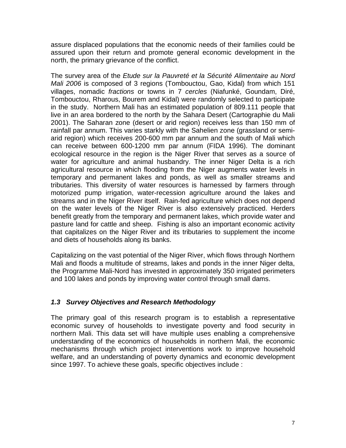assure displaced populations that the economic needs of their families could be assured upon their return and promote general economic development in the north, the primary grievance of the conflict.

The survey area of the *Etude sur la Pauvreté et la Sécurité Alimentaire au Nord Mali 2006* is composed of 3 regions (Tombouctou, Gao, Kidal) from which 151 villages, nomadic *fractions* or towns in 7 *cercles* (Niafunké, Goundam, Diré, Tombouctou, Rharous, Bourem and Kidal) were randomly selected to participate in the study. Northern Mali has an estimated population of 809.111 people that live in an area bordered to the north by the Sahara Desert (Cartographie du Mali 2001). The Saharan zone (desert or arid region) receives less than 150 mm of rainfall par annum. This varies starkly with the Sahelien zone (grassland or semiarid region) which receives 200-600 mm par annum and the south of Mali which can receive between 600-1200 mm par annum (FIDA 1996). The dominant ecological resource in the region is the Niger River that serves as a source of water for agriculture and animal husbandry. The inner Niger Delta is a rich agricultural resource in which flooding from the Niger augments water levels in temporary and permanent lakes and ponds, as well as smaller streams and tributaries. This diversity of water resources is harnessed by farmers through motorized pump irrigation, water-recession agriculture around the lakes and streams and in the Niger River itself. Rain-fed agriculture which does not depend on the water levels of the Niger River is also extensively practiced. Herders benefit greatly from the temporary and permanent lakes, which provide water and pasture land for cattle and sheep. Fishing is also an important economic activity that capitalizes on the Niger River and its tributaries to supplement the income and diets of households along its banks.

Capitalizing on the vast potential of the Niger River, which flows through Northern Mali and floods a multitude of streams, lakes and ponds in the inner Niger delta, the Programme Mali-Nord has invested in approximately 350 irrigated perimeters and 100 lakes and ponds by improving water control through small dams.

#### *1.3 Survey Objectives and Research Methodology*

The primary goal of this research program is to establish a representative economic survey of households to investigate poverty and food security in northern Mali. This data set will have multiple uses enabling a comprehensive understanding of the economics of households in northern Mali, the economic mechanisms through which project interventions work to improve household welfare, and an understanding of poverty dynamics and economic development since 1997. To achieve these goals, specific objectives include :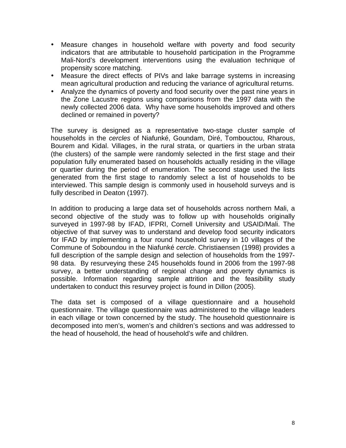- Measure changes in household welfare with poverty and food security indicators that are attributable to household participation in the Programme Mali-Nord's development interventions using the evaluation technique of propensity score matching.
- Measure the direct effects of PIVs and lake barrage systems in increasing mean agricultural production and reducing the variance of agricultural returns.
- Analyze the dynamics of poverty and food security over the past nine years in the Zone Lacustre regions using comparisons from the 1997 data with the newly collected 2006 data. Why have some households improved and others declined or remained in poverty?

The survey is designed as a representative two-stage cluster sample of households in the *cercles* of Niafunké, Goundam, Diré, Tombouctou, Rharous, Bourem and Kidal. Villages, in the rural strata, or quartiers in the urban strata (the clusters) of the sample were randomly selected in the first stage and their population fully enumerated based on households actually residing in the village or quartier during the period of enumeration. The second stage used the lists generated from the first stage to randomly select a list of households to be interviewed. This sample design is commonly used in household surveys and is fully described in Deaton (1997).

In addition to producing a large data set of households across northern Mali, a second objective of the study was to follow up with households originally surveyed in 1997-98 by IFAD, IFPRI, Cornell University and USAID/Mali. The objective of that survey was to understand and develop food security indicators for IFAD by implementing a four round household survey in 10 villages of the Commune of Soboundou in the Niafunké *cercle*. Christiaensen (1998) provides a full description of the sample design and selection of households from the 1997- 98 data. By resurveying these 245 households found in 2006 from the 1997-98 survey, a better understanding of regional change and poverty dynamics is possible. Information regarding sample attrition and the feasibility study undertaken to conduct this resurvey project is found in Dillon (2005).

The data set is composed of a village questionnaire and a household questionnaire. The village questionnaire was administered to the village leaders in each village or town concerned by the study. The household questionnaire is decomposed into men's, women's and children's sections and was addressed to the head of household, the head of household's wife and children.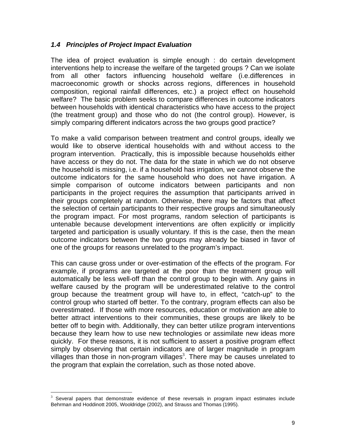#### *1.4 Principles of Project Impact Evaluation*

The idea of project evaluation is simple enough : do certain development interventions help to increase the welfare of the targeted groups ? Can we isolate from all other factors influencing household welfare (i.e.differences in macroeconomic growth or shocks across regions, differences in household composition, regional rainfall differences, etc.) a project effect on household welfare? The basic problem seeks to compare differences in outcome indicators between households with identical characteristics who have access to the project (the treatment group) and those who do not (the control group). However, is simply comparing different indicators across the two groups good practice?

To make a valid comparison between treatment and control groups, ideally we would like to observe identical households with and without access to the program intervention. Practically, this is impossible because households either have access or they do not. The data for the state in which we do not observe the household is missing, i.e. if a household has irrigation, we cannot observe the outcome indicators for the same household who does not have irrigation. A simple comparison of outcome indicators between participants and non participants in the project requires the assumption that participants arrived in their groups completely at random. Otherwise, there may be factors that affect the selection of certain participants to their respective groups and simultaneously the program impact. For most programs, random selection of participants is untenable because development interventions are often explicitly or implicitly targeted and participation is usually voluntary. If this is the case, then the mean outcome indicators between the two groups may already be biased in favor of one of the groups for reasons unrelated to the program's impact.

This can cause gross under or over-estimation of the effects of the program. For example, if programs are targeted at the poor than the treatment group will automatically be less well-off than the control group to begin with. Any gains in welfare caused by the program will be underestimated relative to the control group because the treatment group will have to, in effect, "catch-up" to the control group who started off better. To the contrary, program effects can also be overestimated. If those with more resources, education or motivation are able to better attract interventions to their communities, these groups are likely to be better off to begin with. Additionally, they can better utilize program interventions because they learn how to use new technologies or assimilate new ideas more quickly. For these reasons, it is not sufficient to assert a positive program effect simply by observing that certain indicators are of larger magnitude in program villages than those in non-program villages<sup>3</sup>. There may be causes unrelated to the program that explain the correlation, such as those noted above.

1

<sup>3</sup> Several papers that demonstrate evidence of these reversals in program impact estimates include Behrman and Hoddinott 2005, Wooldridge (2002), and Strauss and Thomas (1995).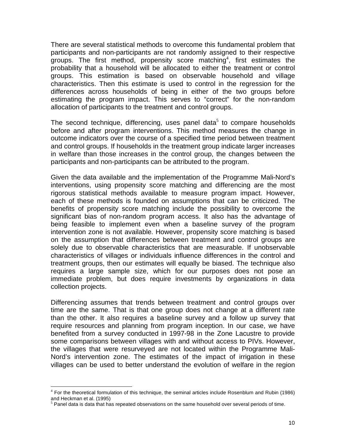There are several statistical methods to overcome this fundamental problem that participants and non-participants are not randomly assigned to their respective groups. The first method, propensity score matching<sup>4</sup>, first estimates the probability that a household will be allocated to either the treatment or control groups. This estimation is based on observable household and village characteristics. Then this estimate is used to control in the regression for the differences across households of being in either of the two groups before estimating the program impact. This serves to "correct" for the non-random allocation of participants to the treatment and control groups.

The second technique, differencing, uses panel data<sup>5</sup> to compare households before and after program interventions. This method measures the change in outcome indicators over the course of a specified time period between treatment and control groups. If households in the treatment group indicate larger increases in welfare than those increases in the control group, the changes between the participants and non-participants can be attributed to the program.

Given the data available and the implementation of the Programme Mali-Nord's interventions, using propensity score matching and differencing are the most rigorous statistical methods available to measure program impact. However, each of these methods is founded on assumptions that can be criticized. The benefits of propensity score matching include the possibility to overcome the significant bias of non-random program access. It also has the advantage of being feasible to implement even when a baseline survey of the program intervention zone is not available. However, propensity score matching is based on the assumption that differences between treatment and control groups are solely due to observable characteristics that are measurable. If unobservable characteristics of villages or individuals influence differences in the control and treatment groups, then our estimates will equally be biased. The technique also requires a large sample size, which for our purposes does not pose an immediate problem, but does require investments by organizations in data collection projects.

Differencing assumes that trends between treatment and control groups over time are the same. That is that one group does not change at a different rate than the other. It also requires a baseline survey and a follow up survey that require resources and planning from program inception. In our case, we have benefited from a survey conducted in 1997-98 in the Zone Lacustre to provide some comparisons between villages with and without access to PIVs. However, the villages that were resurveyed are not located within the Programme Mali-Nord's intervention zone. The estimates of the impact of irrigation in these villages can be used to better understand the evolution of welfare in the region

<u>.</u>

<sup>4</sup> For the theoretical formulation of this technique, the seminal articles include Rosenblum and Rubin (1986) and Heckman et al. (1995)

 $5$  Panel data is data that has repeated observations on the same household over several periods of time.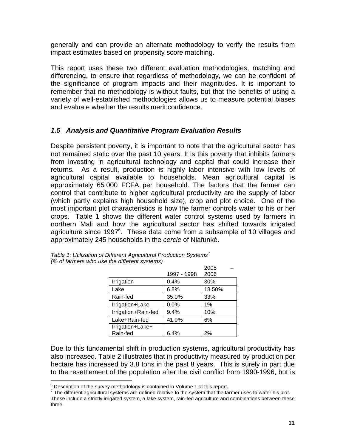generally and can provide an alternate methodology to verify the results from impact estimates based on propensity score matching.

This report uses these two different evaluation methodologies, matching and differencing, to ensure that regardless of methodology, we can be confident of the significance of program impacts and their magnitudes. It is important to remember that no methodology is without faults, but that the benefits of using a variety of well-established methodologies allows us to measure potential biases and evaluate whether the results merit confidence.

#### *1.5 Analysis and Quantitative Program Evaluation Results*

Despite persistent poverty, it is important to note that the agricultural sector has not remained static over the past 10 years. It is this poverty that inhibits farmers from investing in agricultural technology and capital that could increase their returns. As a result, production is highly labor intensive with low levels of agricultural capital available to households. Mean agricultural capital is approximately 65 000 FCFA per household. The factors that the farmer can control that contribute to higher agricultural productivity are the supply of labor (which partly explains high household size), crop and plot choice. One of the most important plot characteristics is how the farmer controls water to his or her crops. Table 1 shows the different water control systems used by farmers in northern Mali and how the agricultural sector has shifted towards irrigated agriculture since 1997<sup>6</sup>. These data come from a subsample of 10 villages and approximately 245 households in the *cercle* of Niafunké.

|                     |             | 2005   |
|---------------------|-------------|--------|
|                     | 1997 - 1998 | 2006   |
| Irrigation          | 0.4%        | 30%    |
| Lake                | 6.8%        | 18.50% |
| Rain-fed            | 35.0%       | 33%    |
| Irrigation+Lake     | 0.0%        | 1%     |
| Irrigation+Rain-fed | 9.4%        | 10%    |
| Lake+Rain-fed       | 41.9%       | 6%     |
| Irrigation+Lake+    |             |        |
| Rain-fed            | 6.4%        | 2%     |

| Table 1: Utilization of Different Agricultural Production Systems <sup>7</sup> |  |
|--------------------------------------------------------------------------------|--|
| (% of farmers who use the different systems)                                   |  |

Due to this fundamental shift in production systems, agricultural productivity has also increased. Table 2 illustrates that in productivity measured by production per hectare has increased by 3.8 tons in the past 8 years. This is surely in part due to the resettlement of the population after the civil conflict from 1990-1996, but is

 6 Description of the survey methodology is contained in Volume 1 of this report.

 $^7$  The different agricultural systems are defined relative to the system that the farmer uses to water his plot. These include a strictly irrigated system, a lake system, rain-fed agriculture and combinations between these three.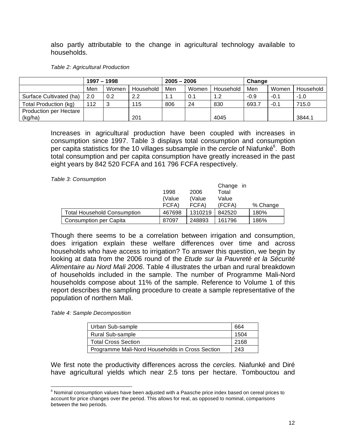also partly attributable to the change in agricultural technology available to households.

|                               | $1997 - 1998$ |       |           | $2005 - 2006$ |       |           | Change |        |           |
|-------------------------------|---------------|-------|-----------|---------------|-------|-----------|--------|--------|-----------|
|                               | Men           | Women | Household | Men           | Women | Household | Men    | Women  | Household |
| Surface Cultivated (ha)       | 2.0           | 0.2   | 2.2       | 1.1           | 0.1   | 1.2       | $-0.9$ | $-0.1$ | $-1.0$    |
| Total Production (kg)         | 112           | વ     | 115       | 806           | 24    | 830       | 693.7  | $-0.1$ | 715.0     |
| <b>Production per Hectare</b> |               |       |           |               |       |           |        |        |           |
| (kg/ha)                       |               |       | 201       |               |       | 4045      |        |        | 3844.1    |

Increases in agricultural production have been coupled with increases in consumption since 1997. Table 3 displays total consumption and consumption per capita statistics for the 10 villages subsample in the *cercle* of Niafunké<sup>8</sup>. Both total consumption and per capita consumption have greatly increased in the past eight years by 842 520 FCFA and 161 796 FCFA respectively.

*Table 3: Consumption*

|                                    | 1998<br>(Value<br>FCFA) | 2006<br>(Value)<br>FCFA) | Change in<br>Total<br>Value<br>(FCFA) | % Change |
|------------------------------------|-------------------------|--------------------------|---------------------------------------|----------|
| <b>Total Household Consumption</b> | 467698                  | 1310219                  | 842520                                | 180%     |
| <b>Consumption per Capita</b>      | 87097                   | 248893                   | 161796                                | 186%     |

Though there seems to be a correlation between irrigation and consumption, does irrigation explain these welfare differences over time and across households who have access to irrigation? To answer this question, we begin by looking at data from the 2006 round of the *Etude sur la Pauvreté et la Sécurité Alimentaire au Nord Mali 2006*. Table 4 illustrates the urban and rural breakdown of households included in the sample. The number of Programme Mali-Nord households compose about 11% of the sample. Reference to Volume 1 of this report describes the sampling procedure to create a sample representative of the population of northern Mali.

*Table 4: Sample Decomposition* 

 $\overline{a}$ 

| Urban Sub-sample                                | 664  |
|-------------------------------------------------|------|
| Rural Sub-sample                                | 1504 |
| <b>Total Cross Section</b>                      | 2168 |
| Programme Mali-Nord Households in Cross Section | 243  |

We first note the productivity differences across the *cercles.* Niafunké and Diré have agricultural yields which near 2.5 tons per hectare. Tombouctou and

 $8$  Nominal consumption values have been adjusted with a Paasche price index based on cereal prices to account for price changes over the period. This allows for real, as opposed to nominal, comparisons between the two periods.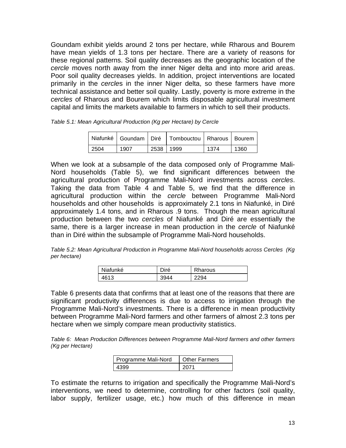Goundam exhibit yields around 2 tons per hectare, while Rharous and Bourem have mean yields of 1.3 tons per hectare. There are a variety of reasons for these regional patterns. Soil quality decreases as the geographic location of the *cercle* moves north away from the inner Niger delta and into more arid areas. Poor soil quality decreases yields. In addition, project interventions are located primarily in the *cercle*s in the inner Niger delta, so these farmers have more technical assistance and better soil quality. Lastly, poverty is more extreme in the *cercles* of Rharous and Bourem which limits disposable agricultural investment capital and limits the markets available to farmers in which to sell their products.

| Table 5.1: Mean Agricultural Production (Kg per Hectare) by Cercle |  |  |  |
|--------------------------------------------------------------------|--|--|--|
|                                                                    |  |  |  |

|       |      |           | Niafunké   Goundam   Diré   Tombouctou   Rharous   Bourem |      |      |
|-------|------|-----------|-----------------------------------------------------------|------|------|
| 12504 | 1907 | 2538 1999 |                                                           | 1374 | 1360 |

When we look at a subsample of the data composed only of Programme Mali-Nord households (Table 5), we find significant differences between the agricultural production of Programme Mali-Nord investments across *cercles*. Taking the data from Table 4 and Table 5, we find that the difference in agricultural production within the *cercle* between Programme Mali-Nord households and other households is approximately 2.1 tons in Niafunké, in Diré approximately 1.4 tons, and in Rharous .9 tons. Though the mean agricultural production between the two *cercles* of Niafunké and Diré are essentially the same, there is a larger increase in mean production in the *cercle* of Niafunké than in Diré within the subsample of Programme Mali-Nord households.

*Table 5.2: Mean Agricultural Production in Programme Mali-Nord households across Cercles (Kg per hectare)*

| Niafunké | Diré | Rharous |
|----------|------|---------|
| 1613     |      | ۵4      |

Table 6 presents data that confirms that at least one of the reasons that there are significant productivity differences is due to access to irrigation through the Programme Mali-Nord's investments. There is a difference in mean productivity between Programme Mali-Nord farmers and other farmers of almost 2.3 tons per hectare when we simply compare mean productivity statistics.

*Table 6: Mean Production Differences between Programme Mali-Nord farmers and other farmers (Kg per Hectare)* 

| Programme Mali-Nord | <b>Other Farmers</b> |
|---------------------|----------------------|
|                     | 2071                 |

To estimate the returns to irrigation and specifically the Programme Mali-Nord's interventions, we need to determine, controlling for other factors (soil quality, labor supply, fertilizer usage, etc.) how much of this difference in mean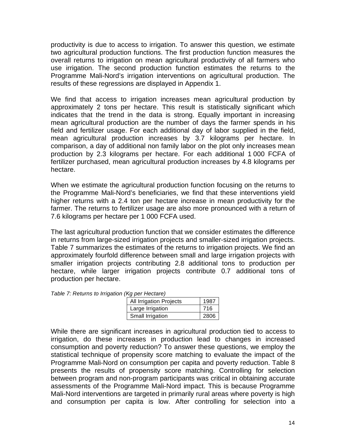productivity is due to access to irrigation. To answer this question, we estimate two agricultural production functions. The first production function measures the overall returns to irrigation on mean agricultural productivity of all farmers who use irrigation. The second production function estimates the returns to the Programme Mali-Nord's irrigation interventions on agricultural production. The results of these regressions are displayed in Appendix 1.

We find that access to irrigation increases mean agricultural production by approximately 2 tons per hectare. This result is statistically significant which indicates that the trend in the data is strong. Equally important in increasing mean agricultural production are the number of days the farmer spends in his field and fertilizer usage. For each additional day of labor supplied in the field, mean agricultural production increases by 3.7 kilograms per hectare. In comparison, a day of additional non family labor on the plot only increases mean production by 2.3 kilograms per hectare. For each additional 1 000 FCFA of fertilizer purchased, mean agricultural production increases by 4.8 kilograms per hectare.

When we estimate the agricultural production function focusing on the returns to the Programme Mali-Nord's beneficiaries, we find that these interventions yield higher returns with a 2.4 ton per hectare increase in mean productivity for the farmer. The returns to fertilizer usage are also more pronounced with a return of 7.6 kilograms per hectare per 1 000 FCFA used.

The last agricultural production function that we consider estimates the difference in returns from large-sized irrigation projects and smaller-sized irrigation projects. Table 7 summarizes the estimates of the returns to irrigation projects. We find an approximately fourfold difference between small and large irrigation projects with smaller irrigation projects contributing 2.8 additional tons to production per hectare, while larger irrigation projects contribute 0.7 additional tons of production per hectare.

*Table 7: Returns to Irrigation (Kg per Hectare)*

| $\mathbf{w}$ $\mathbf{w}$ $\mathbf{w}$ $\mathbf{w}$ $\mathbf{w}$ $\mathbf{w}$ $\mathbf{w}$ |      |
|--------------------------------------------------------------------------------------------|------|
| All Irrigation Projects                                                                    | 1987 |
| Large Irrigation                                                                           | 716  |
| Small Irrigation                                                                           | 2806 |

While there are significant increases in agricultural production tied to access to irrigation, do these increases in production lead to changes in increased consumption and poverty reduction? To answer these questions, we employ the statistical technique of propensity score matching to evaluate the impact of the Programme Mali-Nord on consumption per capita and poverty reduction. Table 8 presents the results of propensity score matching. Controlling for selection between program and non-program participants was critical in obtaining accurate assessments of the Programme Mali-Nord impact. This is because Programme Mali-Nord interventions are targeted in primarily rural areas where poverty is high and consumption per capita is low. After controlling for selection into a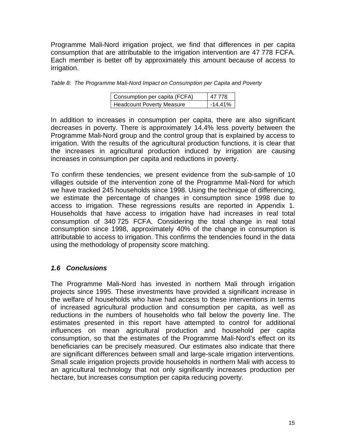Programme Mali-Nord irrigation project, we find that differences in per capita consumption that are attributable to the irrigation intervention are 47 778 FCFA. Each member is better off by approximately this amount because of access to irrigation.

| Table 8: The Programme Mali-Nord Impact on Consumption per Capita and Poverty |  |  |  |
|-------------------------------------------------------------------------------|--|--|--|
|                                                                               |  |  |  |

| Consumption per capita (FCFA)    | 47 778    |
|----------------------------------|-----------|
| <b>Headcount Poverty Measure</b> | $-14.41%$ |

In addition to increases in consumption per capita, there are also significant decreases in poverty. There is approximately 14.4% less poverty between the Programme Mali-Nord group and the control group that is explained by access to irrigation. With the results of the agricultural production functions, it is clear that the increases in agricultural production induced by irrigation are causing increases in consumption per capita and reductions in poverty.

To confirm these tendencies, we present evidence from the sub-sample of 10 villages outside of the intervention zone of the Programme Mali-Nord for which we have tracked 245 households since 1998. Using the technique of differencing, we estimate the percentage of changes in consumption since 1998 due to access to irrigation. These regressions results are reported in Appendix 1. Households that have access to irrigation have had increases in real total consumption of 340 725 FCFA. Considering the total change in real total consumption since 1998, approximately 40% of the change in consumption is attributable to access to irrigation. This confirms the tendencies found in the data using the methodology of propensity score matching.

#### *1.6 Conclusions*

The Programme Mali-Nord has invested in northern Mali through irrigation projects since 1995. These investments have provided a significant increase in the welfare of households who have had access to these interventions in terms of increased agricultural production and consumption per capita, as well as reductions in the numbers of households who fall below the poverty line. The estimates presented in this report have attempted to control for additional influences on mean agricultural production and household per capita consumption, so that the estimates of the Programme Mali-Nord's effect on its beneficiaries can be precisely measured. Our estimates also indicate that there are significant differences between small and large-scale irrigation interventions. Small scale irrigation projects provide households in northern Mali with access to an agricultural technology that not only significantly increases production per hectare, but increases consumption per capita reducing poverty.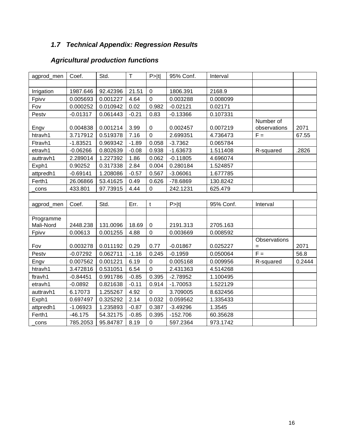# *1.7 Technical Appendix: Regression Results*

# *Agricultural production functions*

| agprod_men | Coef.      | Std.     | $\mathsf T$ | P >  t         | 95% Conf.  | Interval  |              |        |
|------------|------------|----------|-------------|----------------|------------|-----------|--------------|--------|
|            |            |          |             |                |            |           |              |        |
| Irrigation | 1987.646   | 92.42396 | 21.51       | $\mathbf 0$    | 1806.391   | 2168.9    |              |        |
| Fpivv      | 0.005693   | 0.001227 | 4.64        | $\overline{0}$ | 0.003288   | 0.008099  |              |        |
| Fov        | 0.000252   | 0.010942 | 0.02        | 0.982          | $-0.02121$ | 0.02171   |              |        |
| Pestv      | $-0.01317$ | 0.061443 | $-0.21$     | 0.83           | $-0.13366$ | 0.107331  |              |        |
|            |            |          |             |                |            |           | Number of    |        |
| Engv       | 0.004838   | 0.001214 | 3.99        | $\pmb{0}$      | 0.002457   | 0.007219  | observations | 2071   |
| htravh1    | 3.717912   | 0.519378 | 7.16        | $\overline{0}$ | 2.699351   | 4.736473  | $F =$        | 67.55  |
| Ftravh1    | $-1.83521$ | 0.969342 | $-1.89$     | 0.058          | $-3.7362$  | 0.065784  |              |        |
| etravh1    | $-0.06266$ | 0.802639 | $-0.08$     | 0.938          | $-1.63673$ | 1.511408  | R-squared    | .2826  |
| auttravh1  | 2.289014   | 1.227392 | 1.86        | 0.062          | $-0.11805$ | 4.696074  |              |        |
| Exph1      | 0.90252    | 0.317338 | 2.84        | 0.004          | 0.280184   | 1.524857  |              |        |
| attpredh1  | $-0.69141$ | 1.208086 | $-0.57$     | 0.567          | $-3.06061$ | 1.677785  |              |        |
| Ferth1     | 26.06866   | 53.41625 | 0.49        | 0.626          | -78.6869   | 130.8242  |              |        |
| cons       | 433.801    | 97.73915 | 4.44        | $\mathbf 0$    | 242.1231   | 625.479   |              |        |
|            |            |          |             |                |            |           |              |        |
| agprod_men | Coef.      | Std.     | Err.        | t              | P> t       | 95% Conf. | Interval     |        |
|            |            |          |             |                |            |           |              |        |
| Programme  |            |          |             |                |            |           |              |        |
| Mali-Nord  | 2448.238   | 131.0096 | 18.69       | $\pmb{0}$      | 2191.313   | 2705.163  |              |        |
| Fpivv      | 0.00613    | 0.001255 | 4.88        | $\mathbf 0$    | 0.003669   | 0.008592  |              |        |
|            |            |          |             |                |            |           | Observations |        |
| Fov        | 0.003278   | 0.011192 | 0.29        | 0.77           | $-0.01867$ | 0.025227  | $=$          | 2071   |
| Pestv      | $-0.07292$ | 0.062711 | $-1.16$     | 0.245          | $-0.1959$  | 0.050064  | $F =$        | 56.8   |
| Engv       | 0.007562   | 0.001221 | 6.19        | $\mathbf 0$    | 0.005168   | 0.009956  | R-squared    | 0.2444 |
| htravh1    | 3.472816   | 0.531051 | 6.54        | $\mathbf 0$    | 2.431363   | 4.514268  |              |        |
| ftravh1    | $-0.84451$ | 0.991786 | $-0.85$     | 0.395          | $-2.78952$ | 1.100495  |              |        |
| etravh1    | $-0.0892$  | 0.821638 | $-0.11$     | 0.914          | $-1.70053$ | 1.522129  |              |        |
| auttravh1  | 6.17073    | 1.255267 | 4.92        | $\mathbf 0$    | 3.709005   | 8.632456  |              |        |
| Exph1      | 0.697497   | 0.325292 | 2.14        | 0.032          | 0.059562   | 1.335433  |              |        |
| attpredh1  | $-1.06923$ | 1.235893 | $-0.87$     | 0.387          | $-3.49296$ | 1.3545    |              |        |
| Ferth1     | $-46.175$  | 54.32175 | $-0.85$     | 0.395          | $-152.706$ | 60.35628  |              |        |
| cons       | 785.2053   | 95.84787 | 8.19        | $\mathbf 0$    | 597.2364   | 973.1742  |              |        |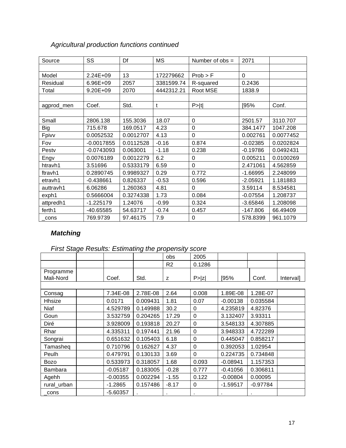| Source     | SS           | Df        | <b>MS</b>  | Number of $obs =$ | 2071         |           |
|------------|--------------|-----------|------------|-------------------|--------------|-----------|
|            |              |           |            |                   |              |           |
| Model      | 2.24E+09     | 13        | 172279662  | Prob > F          | $\mathbf{0}$ |           |
| Residual   | 6.96E+09     | 2057      | 3381599.74 | R-squared         | 0.2436       |           |
| Total      | $9.20E + 09$ | 2070      | 4442312.21 | Root MSE          | 1838.9       |           |
|            |              |           |            |                   |              |           |
| agprod_men | Coef.        | Std.      | t          | P> t              | [95%         | Conf.     |
|            |              |           |            |                   |              |           |
| Small      | 2806.138     | 155.3036  | 18.07      | 0                 | 2501.57      | 3110.707  |
| <b>Big</b> | 715.678      | 169.0517  | 4.23       | 0                 | 384.1477     | 1047.208  |
| Fpivv      | 0.0052532    | 0.0012707 | 4.13       | $\mathbf 0$       | 0.002761     | 0.0077452 |
| Fov        | $-0.0017855$ | 0.0112528 | $-0.16$    | 0.874             | $-0.02385$   | 0.0202824 |
| Pestv      | $-0.0743093$ | 0.063001  | $-1.18$    | 0.238             | $-0.19786$   | 0.0492431 |
| Engv       | 0.0076189    | 0.0012279 | 6.2        | 0                 | 0.005211     | 0.0100269 |
| htravh1    | 3.51696      | 0.5333179 | 6.59       | $\mathbf 0$       | 2.471061     | 4.562859  |
| ftravh1    | 0.2890745    | 0.9989327 | 0.29       | 0.772             | $-1.66995$   | 2.248099  |
| etravh1    | $-0.438661$  | 0.826337  | $-0.53$    | 0.596             | $-2.05921$   | 1.181883  |
| auttravh1  | 6.06286      | 1.260363  | 4.81       | $\Omega$          | 3.59114      | 8.534581  |
| exph1      | 0.5666004    | 0.3274338 | 1.73       | 0.084             | $-0.07554$   | 1.208737  |
| attpredh1  | $-1.225179$  | 1.24076   | $-0.99$    | 0.324             | $-3.65846$   | 1.208098  |
| ferth1     | -40.65585    | 54.63717  | $-0.74$    | 0.457             | $-147.806$   | 66.49409  |
| cons       | 769.9739     | 97.46175  | 7.9        | 0                 | 578.8399     | 961.1079  |

## *Agricultural production functions continued*

## *Matching*

## *First Stage Results: Estimating the propensity score*

|             |            |          | obs            | 2005   |            |            |                  |
|-------------|------------|----------|----------------|--------|------------|------------|------------------|
|             |            |          | R <sub>2</sub> | 0.1286 |            |            |                  |
| Programme   |            |          |                |        |            |            |                  |
| Mali-Nord   | Coef.      | Std.     | z              | P >  z | [95%       | Conf.      | <b>Intervall</b> |
|             |            |          |                |        |            |            |                  |
| Consag      | 7.34E-08   | 2.78E-08 | 2.64           | 0.008  | 1.89E-08   | 1.28E-07   |                  |
| Hhsize      | 0.0171     | 0.009431 | 1.81           | 0.07   | $-0.00138$ | 0.035584   |                  |
| Niaf        | 4.529789   | 0.149988 | 30.2           | 0      | 4.235819   | 4.82376    |                  |
| Goun        | 3.532759   | 0.204265 | 17.29          | 0      | 3.132407   | 3.93311    |                  |
| Diré        | 3.928009   | 0.193818 | 20.27          | 0      | 3.548133   | 4.307885   |                  |
| Rhar        | 4.335311   | 0.197441 | 21.96          | 0      | 3.948333   | 4.722289   |                  |
| Songrai     | 0.651632   | 0.105403 | 6.18           | 0      | 0.445047   | 0.858217   |                  |
| Tamasheq    | 0.710796   | 0.162627 | 4.37           | 0      | 0.392053   | 1.02954    |                  |
| Peulh       | 0.479791   | 0.130133 | 3.69           | 0      | 0.224735   | 0.734848   |                  |
| <b>Bozo</b> | 0.533973   | 0.318057 | 1.68           | 0.093  | $-0.08941$ | 1.157353   |                  |
| Bambara     | $-0.05187$ | 0.183005 | $-0.28$        | 0.777  | $-0.41056$ | 0.306811   |                  |
| Agehh       | $-0.00355$ | 0.002294 | $-1.55$        | 0.122  | $-0.00804$ | 0.00095    |                  |
| rural_urban | $-1.2865$  | 0.157486 | $-8.17$        | 0      | $-1.59517$ | $-0.97784$ |                  |
| cons        | $-5.60357$ |          |                |        |            |            |                  |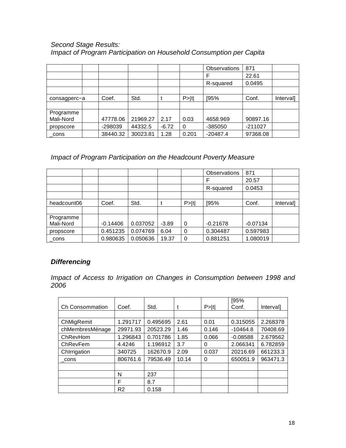#### *Second Stage Results: Impact of Program Participation on Household Consumption per Capita*

|              |  |          |          |         |          | <b>Observations</b> | 871       |           |
|--------------|--|----------|----------|---------|----------|---------------------|-----------|-----------|
|              |  |          |          |         |          | F                   | 22.61     |           |
|              |  |          |          |         |          | R-squared           | 0.0495    |           |
|              |  |          |          |         |          |                     |           |           |
| consagperc~a |  | Coef.    | Std.     |         | P >  t   | [95%                | Conf.     | Interval] |
|              |  |          |          |         |          |                     |           |           |
| Programme    |  |          |          |         |          |                     |           |           |
| Mali-Nord    |  | 47778.06 | 21969.27 | 2.17    | 0.03     | 4658.969            | 90897.16  |           |
| propscore    |  | -298039  | 44332.5  | $-6.72$ | $\Omega$ | -385050             | $-211027$ |           |
| cons         |  | 38440.32 | 30023.81 | 1.28    | 0.201    | $-20487.4$          | 97368.08  |           |

### *Impact of Program Participation on the Headcount Poverty Measure*

|             |  |            |          |         |        | <b>Observations</b> | 871        |           |
|-------------|--|------------|----------|---------|--------|---------------------|------------|-----------|
|             |  |            |          |         |        |                     | 20.57      |           |
|             |  |            |          |         |        | R-squared           | 0.0453     |           |
|             |  |            |          |         |        |                     |            |           |
| headcount06 |  | Coef.      | Std.     |         | P >  t | [95%                | Conf.      | Interval] |
|             |  |            |          |         |        |                     |            |           |
| Programme   |  |            |          |         |        |                     |            |           |
| Mali-Nord   |  | $-0.14406$ | 0.037052 | $-3.89$ | 0      | $-0.21678$          | $-0.07134$ |           |
| propscore   |  | 0.451235   | 0.074769 | 6.04    | 0      | 0.304487            | 0.597983   |           |
| cons        |  | 0.980635   | 0.050636 | 19.37   | 0      | 0.881251            | 1.080019   |           |

### *Differencing*

*Impact of Access to Irrigation on Changes in Consumption between 1998 and 2006* 

|                        |                |          |       |        | [95%       |           |
|------------------------|----------------|----------|-------|--------|------------|-----------|
| <b>Ch Consommation</b> | Coef.          | Std.     |       | P >  t | Conf.      | Intervall |
|                        |                |          |       |        |            |           |
| ChMigRemit             | 1.291717       | 0.495695 | 2.61  | 0.01   | 0.315055   | 2.268378  |
| chMembresMénage        | 29971.93       | 20523.29 | 1.46  | 0.146  | $-10464.8$ | 70408.69  |
| ChRevHom               | 1.296843       | 0.701786 | 1.85  | 0.066  | $-0.08588$ | 2.679562  |
| ChRevFem               | 4.4246         | 1.196912 | 3.7   | 0      | 2.066341   | 6.782859  |
| Chlrrigation           | 340725         | 162670.9 | 2.09  | 0.037  | 20216.69   | 661233.3  |
| cons                   | 806761.6       | 79536.49 | 10.14 | 0      | 650051.9   | 963471.3  |
|                        |                |          |       |        |            |           |
|                        | N              | 237      |       |        |            |           |
|                        | F              | 8.7      |       |        |            |           |
|                        | R <sub>2</sub> | 0.158    |       |        |            |           |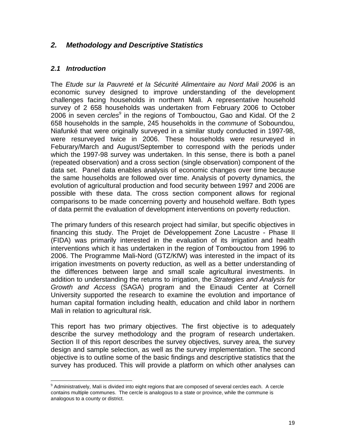#### *2. Methodology and Descriptive Statistics*

#### *2.1 Introduction*

 $\overline{a}$ 

The *Etude sur la Pauvreté et la Sécurité Alimentaire au Nord Mali 2006* is an economic survey designed to improve understanding of the development challenges facing households in northern Mali. A representative household survey of 2 658 households was undertaken from February 2006 to October 2006 in seven *cercles<sup>9</sup>* in the regions of Tombouctou, Gao and Kidal. Of the 2 658 households in the sample, 245 households in the *commune* of Soboundou, Niafunké that were originally surveyed in a similar study conducted in 1997-98, were resurveyed twice in 2006. These households were resurveyed in Feburary/March and August/September to correspond with the periods under which the 1997-98 survey was undertaken. In this sense, there is both a panel (repeated observation) and a cross section (single observation) component of the data set. Panel data enables analysis of economic changes over time because the same households are followed over time. Analysis of poverty dynamics, the evolution of agricultural production and food security between 1997 and 2006 are possible with these data. The cross section component allows for regional comparisons to be made concerning poverty and household welfare. Both types of data permit the evaluation of development interventions on poverty reduction.

The primary funders of this research project had similar, but specific objectives in financing this study. The Projet de Développement Zone Lacustre - Phase II (FIDA) was primarily interested in the evaluation of its irrigation and health interventions which it has undertaken in the region of Tombouctou from 1996 to 2006. The Programme Mali-Nord (GTZ/KfW) was interested in the impact of its irrigation investments on poverty reduction, as well as a better understanding of the differences between large and small scale agricultural investments. In addition to understanding the returns to irrigation, the *Strategies and Analysis for Growth and Access* (SAGA) program and the Einaudi Center at Cornell University supported the research to examine the evolution and importance of human capital formation including health, education and child labor in northern Mali in relation to agricultural risk.

This report has two primary objectives. The first objective is to adequately describe the survey methodology and the program of research undertaken. Section II of this report describes the survey objectives, survey area, the survey design and sample selection, as well as the survey implementation. The second objective is to outline some of the basic findings and descriptive statistics that the survey has produced. This will provide a platform on which other analyses can

 $9$  Administratively, Mali is divided into eight regions that are composed of several cercles each. A cercle contains multiple communes. The cercle is analogous to a state or province, while the commune is analogous to a county or district.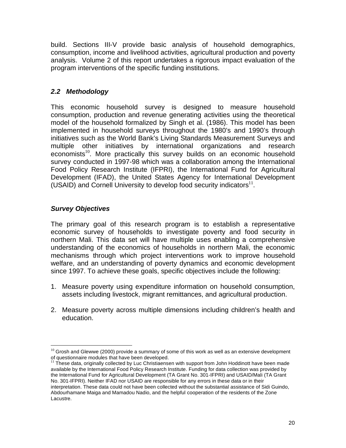build. Sections III-V provide basic analysis of household demographics, consumption, income and livelihood activities, agricultural production and poverty analysis. Volume 2 of this report undertakes a rigorous impact evaluation of the program interventions of the specific funding institutions.

### *2.2 Methodology*

This economic household survey is designed to measure household consumption, production and revenue generating activities using the theoretical model of the household formalized by Singh et al. (1986). This model has been implemented in household surveys throughout the 1980's and 1990's through initiatives such as the World Bank's Living Standards Measurement Surveys and multiple other initiatives by international organizations and research economists<sup>10</sup>. More practically this survey builds on an economic household survey conducted in 1997-98 which was a collaboration among the International Food Policy Research Institute (IFPRI), the International Fund for Agricultural Development (IFAD), the United States Agency for International Development (USAID) and Cornell University to develop food security indicators $^{11}$ .

### *Survey Objectives*

The primary goal of this research program is to establish a representative economic survey of households to investigate poverty and food security in northern Mali. This data set will have multiple uses enabling a comprehensive understanding of the economics of households in northern Mali, the economic mechanisms through which project interventions work to improve household welfare, and an understanding of poverty dynamics and economic development since 1997. To achieve these goals, specific objectives include the following:

- 1. Measure poverty using expenditure information on household consumption, assets including livestock, migrant remittances, and agricultural production.
- 2. Measure poverty across multiple dimensions including children's health and education.

 $\overline{a}$  $10$  Grosh and Glewwe (2000) provide a summary of some of this work as well as an extensive development of questionnaire modules that have been developed.

<sup>&</sup>lt;sup>11</sup> These data, originally collected by Luc Christiaensen with support from John Hoddinott have been made available by the International Food Policy Research Institute. Funding for data collection was provided by the International Fund for Agricultural Development (TA Grant No. 301-IFPRI) and USAID/Mali (TA Grant No. 301-IFPRI). Neither IFAD nor USAID are responsible for any errors in these data or in their interpretation. These data could not have been collected without the substantial assistance of Sidi Guindo, Abdourhamane Maiga and Mamadou Nadio, and the helpful cooperation of the residents of the Zone Lacustre.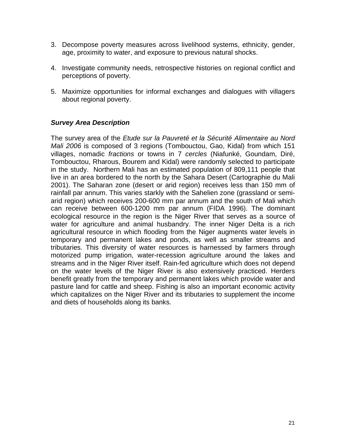- 3. Decompose poverty measures across livelihood systems, ethnicity, gender, age, proximity to water, and exposure to previous natural shocks.
- 4. Investigate community needs, retrospective histories on regional conflict and perceptions of poverty.
- 5. Maximize opportunities for informal exchanges and dialogues with villagers about regional poverty.

#### *Survey Area Description*

The survey area of the *Etude sur la Pauvreté et la Sécurité Alimentaire au Nord Mali 2006* is composed of 3 regions (Tombouctou, Gao, Kidal) from which 151 villages, nomadic *fractions* or towns in 7 *cercles* (Niafunké, Goundam, Diré, Tombouctou, Rharous, Bourem and Kidal) were randomly selected to participate in the study. Northern Mali has an estimated population of 809,111 people that live in an area bordered to the north by the Sahara Desert (Cartographie du Mali 2001). The Saharan zone (desert or arid region) receives less than 150 mm of rainfall par annum. This varies starkly with the Sahelien zone (grassland or semiarid region) which receives 200-600 mm par annum and the south of Mali which can receive between 600-1200 mm par annum (FIDA 1996). The dominant ecological resource in the region is the Niger River that serves as a source of water for agriculture and animal husbandry. The inner Niger Delta is a rich agricultural resource in which flooding from the Niger augments water levels in temporary and permanent lakes and ponds, as well as smaller streams and tributaries. This diversity of water resources is harnessed by farmers through motorized pump irrigation, water-recession agriculture around the lakes and streams and in the Niger River itself. Rain-fed agriculture which does not depend on the water levels of the Niger River is also extensively practiced. Herders benefit greatly from the temporary and permanent lakes which provide water and pasture land for cattle and sheep. Fishing is also an important economic activity which capitalizes on the Niger River and its tributaries to supplement the income and diets of households along its banks.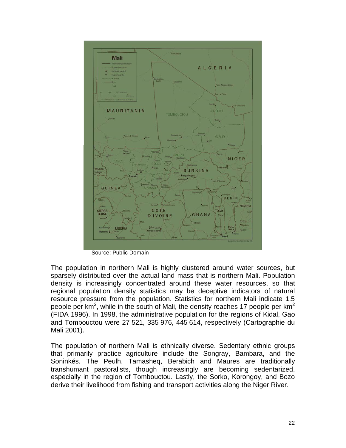

Source: Public Domain

The population in northern Mali is highly clustered around water sources, but sparsely distributed over the actual land mass that is northern Mali. Population density is increasingly concentrated around these water resources, so that regional population density statistics may be deceptive indicators of natural resource pressure from the population. Statistics for northern Mali indicate 1.5 people per km<sup>2</sup>, while in the south of Mali, the density reaches 17 people per km<sup>2</sup> (FIDA 1996). In 1998, the administrative population for the regions of Kidal, Gao and Tombouctou were 27 521, 335 976, 445 614, respectively (Cartographie du Mali 2001).

The population of northern Mali is ethnically diverse. Sedentary ethnic groups that primarily practice agriculture include the Songray, Bambara, and the Soninkés. The Peulh, Tamasheq, Berabich and Maures are traditionally transhumant pastoralists, though increasingly are becoming sedentarized, especially in the region of Tombouctou. Lastly, the Sorko, Korongoy, and Bozo derive their livelihood from fishing and transport activities along the Niger River.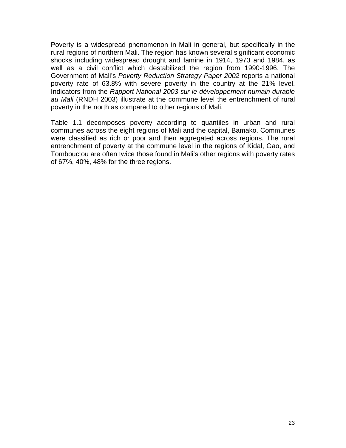Poverty is a widespread phenomenon in Mali in general, but specifically in the rural regions of northern Mali. The region has known several significant economic shocks including widespread drought and famine in 1914, 1973 and 1984, as well as a civil conflict which destabilized the region from 1990-1996. The Government of Mali's *Poverty Reduction Strategy Paper 2002* reports a national poverty rate of 63.8% with severe poverty in the country at the 21% level. Indicators from the *Rapport National 2003 sur le développement humain durable au Mali* (RNDH 2003) illustrate at the commune level the entrenchment of rural poverty in the north as compared to other regions of Mali.

Table 1.1 decomposes poverty according to quantiles in urban and rural communes across the eight regions of Mali and the capital, Bamako. Communes were classified as rich or poor and then aggregated across regions. The rural entrenchment of poverty at the commune level in the regions of Kidal, Gao, and Tombouctou are often twice those found in Mali's other regions with poverty rates of 67%, 40%, 48% for the three regions.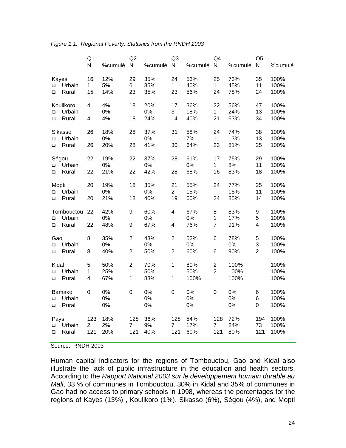|               |            | Q <sub>1</sub> |         | Q2             |         | Q <sub>3</sub> |         | Q4             |         | Q <sub>5</sub>          |         |
|---------------|------------|----------------|---------|----------------|---------|----------------|---------|----------------|---------|-------------------------|---------|
|               |            | N              | %cumulé | $\overline{N}$ | %cumulé | $\mathsf{N}$   | %cumulé | ${\sf N}$      | %cumulé | $\overline{\mathsf{N}}$ | %cumulé |
|               |            |                |         |                |         |                |         |                |         |                         |         |
| Kayes         |            | 16             | 12%     | 29             | 35%     | 24             | 53%     | 25             | 73%     | 35                      | 100%    |
| $\Box$        | Urbain     | $\mathbf{1}$   | 5%      | 6              | 35%     | $\mathbf{1}$   | 40%     | $\mathbf 1$    | 45%     | 11                      | 100%    |
| □             | Rural      | 15             | 14%     | 23             | 35%     | 23             | 56%     | 24             | 78%     | 24                      | 100%    |
|               |            |                |         |                |         |                |         |                |         |                         |         |
|               | Koulikoro  | 4              | 4%      | 18             | 20%     | 17             | 36%     | 22             | 56%     | 47                      | 100%    |
| $\Box$        | Urbain     |                | 0%      |                | 0%      | 3              | 18%     | $\mathbf{1}$   | 24%     | 13                      | 100%    |
| $\Box$        | Rural      | 4              | 4%      | 18             | 24%     | 14             | 40%     | 21             | 63%     | 34                      | 100%    |
|               | Sikasso    | 26             | 18%     | 28             | 37%     | 31             | 58%     | 24             | 74%     | 38                      | 100%    |
| $\Box$        | Urbain     |                | 0%      |                | 0%      | $\mathbf 1$    | 7%      | 1              | 13%     | 13                      | 100%    |
| $\Box$        | Rural      | 26             | 20%     | 28             | 41%     | 30             | 64%     | 23             | 81%     | 25                      | 100%    |
|               |            |                |         |                |         |                |         |                |         |                         |         |
|               | Ségou      | 22             | 19%     | 22             | 37%     | 28             | 61%     | 17             | 75%     | 29                      | 100%    |
| $\Box$        | Urbain     |                | 0%      |                | 0%      |                | 0%      | 1              | 8%      | 11                      | 100%    |
| $\Box$        | Rural      | 22             | 21%     | 22             | 42%     | 28             | 68%     | 16             | 83%     | 18                      | 100%    |
|               |            |                |         |                |         |                |         |                |         |                         |         |
| Mopti         |            | 20             | 19%     | 18             | 35%     | 21             | 55%     | 24             | 77%     | 25                      | 100%    |
| $\Box$        | Urbain     |                | 0%      |                | 0%      | $\overline{c}$ | 15%     |                | 15%     | 11                      | 100%    |
| $\Box$        | Rural      | 20             | 21%     | 18             | 40%     | 19             | 60%     | 24             | 85%     | 14                      | 100%    |
|               |            |                |         |                |         |                |         |                |         |                         |         |
|               | Tombouctou | 22             | 42%     | 9              | 60%     | 4              | 67%     | 8              | 83%     | 9                       | 100%    |
| $\Box$        | Urbain     |                | 0%      |                | 0%      |                | 0%      | $\mathbf{1}$   | 17%     | 5                       | 100%    |
| $\Box$        | Rural      | 22             | 48%     | 9              | 67%     | 4              | 76%     | $\overline{7}$ | 91%     | $\overline{\mathbf{4}}$ | 100%    |
|               |            | 8              | 35%     | $\overline{c}$ | 43%     | $\overline{c}$ | 52%     | 6              | 78%     | $\mathbf 5$             | 100%    |
| Gao<br>$\Box$ | Urbain     |                | 0%      |                | 0%      |                | 0%      |                | 0%      | 3                       | 100%    |
| $\Box$        | Rural      | 8              | 40%     | $\overline{2}$ | 50%     | $\overline{c}$ | 60%     | 6              | 90%     | $\overline{c}$          | 100%    |
|               |            |                |         |                |         |                |         |                |         |                         |         |
| Kidal         |            | 5              | 50%     | $\mathbf{2}$   | 70%     | 1              | 80%     | $\overline{c}$ | 100%    |                         | 100%    |
| $\Box$        | Urbain     | $\mathbf{1}$   | 25%     | 1              | 50%     |                | 50%     | $\overline{2}$ | 100%    |                         | 100%    |
| $\Box$        | Rural      | 4              | 67%     | 1              | 83%     | 1              | 100%    |                | 100%    |                         | 100%    |
|               |            |                |         |                |         |                |         |                |         |                         |         |
|               | Bamako     | $\mathbf 0$    | 0%      | $\mathbf 0$    | 0%      | $\mathbf 0$    | 0%      | $\mathbf 0$    | 0%      | 6                       | 100%    |
| $\Box$        | Urbain     |                | 0%      |                | 0%      |                | 0%      |                | 0%      | 6                       | 100%    |
| $\Box$        | Rural      |                | 0%      |                | 0%      |                | 0%      |                | 0%      | 0                       | 100%    |
|               |            |                |         |                |         |                |         |                |         |                         |         |
| Pays          |            | 123            | 18%     | 128            | 36%     | 128            | 54%     | 128            | 72%     | 194                     | 100%    |
| □             | Urbain     | $\overline{2}$ | 2%      | $\overline{7}$ | 9%      | $\overline{7}$ | 17%     | 7              | 24%     | 73                      | 100%    |
| $\Box$        | Rural      | 121            | 20%     | 121            | 40%     | 121            | 60%     | 121            | 80%     | 121                     | 100%    |
|               |            |                |         |                |         |                |         |                |         |                         |         |

*Figure 1.1: Regional Poverty. Statistics from the RNDH 2003* 

Source: RNDH 2003

Human capital indicators for the regions of Tombouctou, Gao and Kidal also illustrate the lack of public infrastructure in the education and health sectors. According to the *Rapport National 2003 sur le développement humain durable au Mali*, 33 % of communes in Tombouctou, 30% in Kidal and 35% of communes in Gao had no access to primary schools in 1998, whereas the percentages for the regions of Kayes (13%) , Koulikoro (1%), Sikasso (6%), Ségou (4%), and Mopti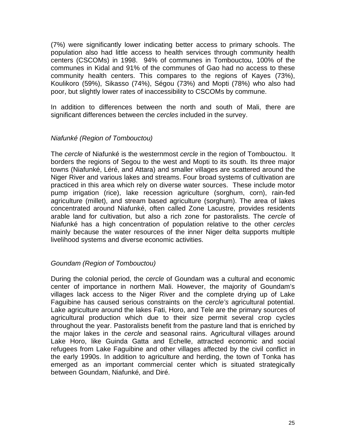(7%) were significantly lower indicating better access to primary schools. The population also had little access to health services through community health centers (CSCOMs) in 1998. 94% of communes in Tombouctou, 100% of the communes in Kidal and 91% of the communes of Gao had no access to these community health centers. This compares to the regions of Kayes (73%), Koulikoro (59%), Sikasso (74%), Ségou (73%) and Mopti (78%) who also had poor, but slightly lower rates of inaccessibility to CSCOMs by commune.

In addition to differences between the north and south of Mali, there are significant differences between the *cercles* included in the survey.

#### *Niafunké (Region of Tombouctou)*

The *cercle* of Niafunké is the westernmost *cercle* in the region of Tombouctou. It borders the regions of Segou to the west and Mopti to its south. Its three major towns (Niafunké, Léré, and Attara) and smaller villages are scattered around the Niger River and various lakes and streams. Four broad systems of cultivation are practiced in this area which rely on diverse water sources. These include motor pump irrigation (rice), lake recession agriculture (sorghum, corn), rain-fed agriculture (millet), and stream based agriculture (sorghum). The area of lakes concentrated around Niafunké, often called Zone Lacustre, provides residents arable land for cultivation, but also a rich zone for pastoralists. The *cercle* of Niafunké has a high concentration of population relative to the other *cercles* mainly because the water resources of the inner Niger delta supports multiple livelihood systems and diverse economic activities.

#### *Goundam (Region of Tombouctou)*

During the colonial period, the *cercle* of Goundam was a cultural and economic center of importance in northern Mali. However, the majority of Goundam's villages lack access to the Niger River and the complete drying up of Lake Faguibine has caused serious constraints on the *cercle's* agricultural potential. Lake agriculture around the lakes Fati, Horo, and Tele are the primary sources of agricultural production which due to their size permit several crop cycles throughout the year. Pastoralists benefit from the pasture land that is enriched by the major lakes in the *cercle* and seasonal rains. Agricultural villages around Lake Horo, like Guinda Gatta and Echelle, attracted economic and social refugees from Lake Faguibine and other villages affected by the civil conflict in the early 1990s. In addition to agriculture and herding, the town of Tonka has emerged as an important commercial center which is situated strategically between Goundam, Niafunké, and Diré.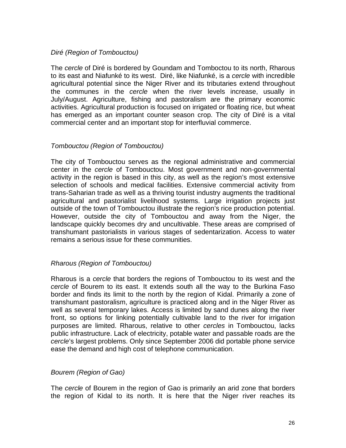#### *Diré (Region of Tombouctou)*

The *cercle* of Diré is bordered by Goundam and Tomboctou to its north, Rharous to its east and Niafunké to its west. Diré, like Niafunké, is a *cercle* with incredible agricultural potential since the Niger River and its tributaries extend throughout the communes in the *cercle* when the river levels increase, usually in July/August. Agriculture, fishing and pastoralism are the primary economic activities. Agricultural production is focused on irrigated or floating rice, but wheat has emerged as an important counter season crop. The city of Diré is a vital commercial center and an important stop for interfluvial commerce.

#### *Tombouctou (Region of Tombouctou)*

The city of Tombouctou serves as the regional administrative and commercial center in the *cercle* of Tombouctou. Most government and non-governmental activity in the region is based in this city, as well as the region's most extensive selection of schools and medical facilities. Extensive commercial activity from trans-Saharian trade as well as a thriving tourist industry augments the traditional agricultural and pastorialist livelihood systems. Large irrigation projects just outside of the town of Tombouctou illustrate the region's rice production potential. However, outside the city of Tombouctou and away from the Niger, the landscape quickly becomes dry and uncultivable. These areas are comprised of transhumant pastorialists in various stages of sedentarization. Access to water remains a serious issue for these communities.

#### *Rharous (Region of Tombouctou)*

Rharous is a *cercle* that borders the regions of Tombouctou to its west and the *cercle* of Bourem to its east. It extends south all the way to the Burkina Faso border and finds its limit to the north by the region of Kidal. Primarily a zone of transhumant pastoralism, agriculture is practiced along and in the Niger River as well as several temporary lakes. Access is limited by sand dunes along the river front, so options for linking potentially cultivable land to the river for irrigation purposes are limited. Rharous, relative to other *cercles* in Tombouctou, lacks public infrastructure. Lack of electricity, potable water and passable roads are the *cercle*'s largest problems. Only since September 2006 did portable phone service ease the demand and high cost of telephone communication.

#### *Bourem (Region of Gao)*

The *cercle* of Bourem in the region of Gao is primarily an arid zone that borders the region of Kidal to its north. It is here that the Niger river reaches its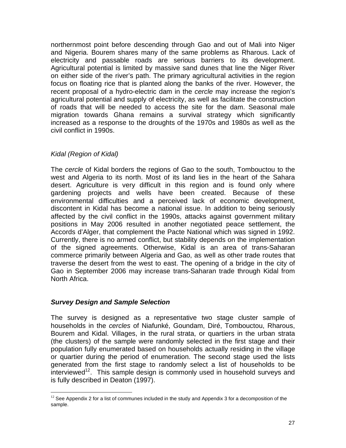northernmost point before descending through Gao and out of Mali into Niger and Nigeria. Bourem shares many of the same problems as Rharous. Lack of electricity and passable roads are serious barriers to its development. Agricultural potential is limited by massive sand dunes that line the Niger River on either side of the river's path. The primary agricultural activities in the region focus on floating rice that is planted along the banks of the river. However, the recent proposal of a hydro-electric dam in the *cercle* may increase the region's agricultural potential and supply of electricity, as well as facilitate the construction of roads that will be needed to access the site for the dam. Seasonal male migration towards Ghana remains a survival strategy which significantly increased as a response to the droughts of the 1970s and 1980s as well as the civil conflict in 1990s.

#### *Kidal (Region of Kidal)*

The *cercle* of Kidal borders the regions of Gao to the south, Tombouctou to the west and Algeria to its north. Most of its land lies in the heart of the Sahara desert. Agriculture is very difficult in this region and is found only where gardening projects and wells have been created. Because of these environmental difficulties and a perceived lack of economic development, discontent in Kidal has become a national issue. In addition to being seriously affected by the civil conflict in the 1990s, attacks against government military positions in May 2006 resulted in another negotiated peace settlement, the Accords d'Alger, that complement the Pacte National which was signed in 1992. Currently, there is no armed conflict, but stability depends on the implementation of the signed agreements. Otherwise, Kidal is an area of trans-Saharan commerce primarily between Algeria and Gao, as well as other trade routes that traverse the desert from the west to east. The opening of a bridge in the city of Gao in September 2006 may increase trans-Saharan trade through Kidal from North Africa.

#### *Survey Design and Sample Selection*

 $\overline{a}$ 

The survey is designed as a representative two stage cluster sample of households in the *cercles* of Niafunké, Goundam, Diré, Tombouctou, Rharous, Bourem and Kidal. Villages, in the rural strata, or quartiers in the urban strata (the clusters) of the sample were randomly selected in the first stage and their population fully enumerated based on households actually residing in the village or quartier during the period of enumeration. The second stage used the lists generated from the first stage to randomly select a list of households to be  $interviewed<sup>12</sup>$ . This sample design is commonly used in household surveys and is fully described in Deaton (1997).

 $12$  See Appendix 2 for a list of communes included in the study and Appendix 3 for a decomposition of the sample.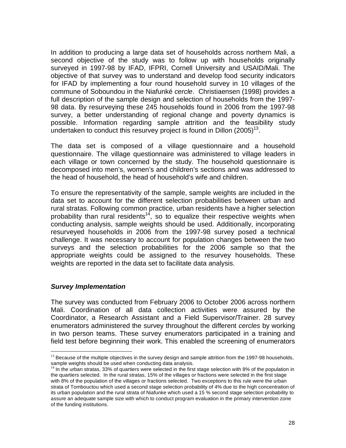In addition to producing a large data set of households across northern Mali, a second objective of the study was to follow up with households originally surveyed in 1997-98 by IFAD, IFPRI, Cornell University and USAID/Mali. The objective of that survey was to understand and develop food security indicators for IFAD by implementing a four round household survey in 10 villages of the commune of Soboundou in the Niafunké *cercle*. Christiaensen (1998) provides a full description of the sample design and selection of households from the 1997- 98 data. By resurveying these 245 households found in 2006 from the 1997-98 survey, a better understanding of regional change and poverty dynamics is possible. Information regarding sample attrition and the feasibility study undertaken to conduct this resurvey project is found in Dillon  $(2005)^{13}$ .

The data set is composed of a village questionnaire and a household questionnaire. The village questionnaire was administered to village leaders in each village or town concerned by the study. The household questionnaire is decomposed into men's, women's and children's sections and was addressed to the head of household, the head of household's wife and children.

To ensure the representativity of the sample, sample weights are included in the data set to account for the different selection probabilities between urban and rural stratas. Following common practice, urban residents have a higher selection probability than rural residents<sup>14</sup>, so to equalize their respective weights when conducting analysis, sample weights should be used. Additionally, incorporating resurveyed households in 2006 from the 1997-98 survey posed a technical challenge. It was necessary to account for population changes between the two surveys and the selection probabilities for the 2006 sample so that the appropriate weights could be assigned to the resurvey households. These weights are reported in the data set to facilitate data analysis.

#### *Survey Implementation*

The survey was conducted from February 2006 to October 2006 across northern Mali. Coordination of all data collection activities were assured by the Coordinator, a Research Assistant and a Field Supervisor/Trainer. 28 survey enumerators administered the survey throughout the different *cercles* by working in two person teams. These survey enumerators participated in a training and field test before beginning their work. This enabled the screening of enumerators

<sup>&</sup>lt;u>.</u>  $13$  Because of the multiple objectives in the survey design and sample attrition from the 1997-98 households, sample weights should be used when conducting data analysis.

 $14$  In the urban stratas, 33% of quartiers were selected in the first stage selection with 8% of the population in the quartiers selected. In the rural stratas, 15% of the villages or fractions were selected in the first stage with 8% of the population of the villages or fractions selected. Two exceptions to this rule were the urban strata of Tombouctou which used a second stage selection probability of 4% due to the high concentration of its urban population and the rural strata of Niafunke which used a 15 % second stage selection probability to assure an adequate sample size with which to conduct program evaluation in the primary intervention zone of the funding institutions.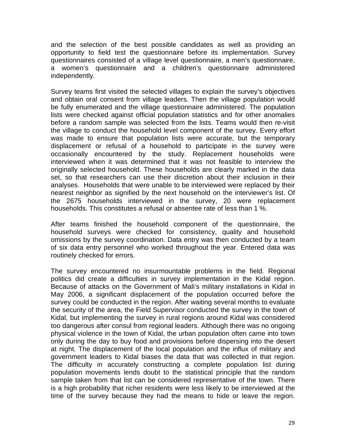and the selection of the best possible candidates as well as providing an opportunity to field test the questionnaire before its implementation. Survey questionnaires consisted of a village level questionnaire, a men's questionnaire, a women's questionnaire and a children's questionnaire administered independently.

Survey teams first visited the selected villages to explain the survey's objectives and obtain oral consent from village leaders. Then the village population would be fully enumerated and the village questionnaire administered. The population lists were checked against official population statistics and for other anomalies before a random sample was selected from the lists. Teams would then re-visit the village to conduct the household level component of the survey. Every effort was made to ensure that population lists were accurate, but the temporary displacement or refusal of a household to participate in the survey were occasionally encountered by the study. Replacement households were interviewed when it was determined that it was not feasible to interview the originally selected household. These households are clearly marked in the data set, so that researchers can use their discretion about their inclusion in their analyses. Households that were unable to be interviewed were replaced by their nearest neighbor as signified by the next household on the interviewer's list. Of the 2675 households interviewed in the survey, 20 were replacement households. This constitutes a refusal or absentee rate of less than 1 %.

After teams finished the household component of the questionnaire, the household surveys were checked for consistency, quality and household omissions by the survey coordination. Data entry was then conducted by a team of six data entry personnel who worked throughout the year. Entered data was routinely checked for errors.

The survey encountered no insurmountable problems in the field. Regional politics did create a difficulties in survey implementation in the Kidal region. Because of attacks on the Government of Mali's military installations in Kidal in May 2006, a significant displacement of the population occurred before the survey could be conducted in the region. After waiting several months to evaluate the security of the area, the Field Supervisor conducted the survey in the town of Kidal, but implementing the survey in rural regions around Kidal was considered too dangerous after consul from regional leaders. Although there was no ongoing physical violence in the town of Kidal, the urban population often came into town only during the day to buy food and provisions before dispersing into the desert at night. The displacement of the local population and the influx of military and government leaders to Kidal biases the data that was collected in that region. The difficulty in accurately constructing a complete population list during population movements lends doubt to the statistical principle that the random sample taken from that list can be considered representative of the town. There is a high probability that richer residents were less likely to be interviewed at the time of the survey because they had the means to hide or leave the region.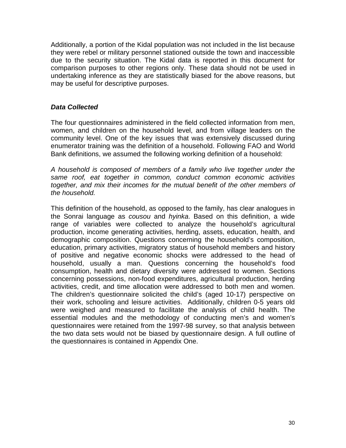Additionally, a portion of the Kidal population was not included in the list because they were rebel or military personnel stationed outside the town and inaccessible due to the security situation. The Kidal data is reported in this document for comparison purposes to other regions only. These data should not be used in undertaking inference as they are statistically biased for the above reasons, but may be useful for descriptive purposes.

#### *Data Collected*

The four questionnaires administered in the field collected information from men, women, and children on the household level, and from village leaders on the community level. One of the key issues that was extensively discussed during enumerator training was the definition of a household. Following FAO and World Bank definitions, we assumed the following working definition of a household:

*A household is composed of members of a family who live together under the same roof, eat together in common, conduct common economic activities together, and mix their incomes for the mutual benefit of the other members of the household.* 

This definition of the household, as opposed to the family, has clear analogues in the Sonrai language as *cousou* and *hyinka*. Based on this definition, a wide range of variables were collected to analyze the household's agricultural production, income generating activities, herding, assets, education, health, and demographic composition. Questions concerning the household's composition, education, primary activities, migratory status of household members and history of positive and negative economic shocks were addressed to the head of household, usually a man. Questions concerning the household's food consumption, health and dietary diversity were addressed to women. Sections concerning possessions, non-food expenditures, agricultural production, herding activities, credit, and time allocation were addressed to both men and women. The children's questionnaire solicited the child's (aged 10-17) perspective on their work, schooling and leisure activities. Additionally, children 0-5 years old were weighed and measured to facilitate the analysis of child health. The essential modules and the methodology of conducting men's and women's questionnaires were retained from the 1997-98 survey, so that analysis between the two data sets would not be biased by questionnaire design. A full outline of the questionnaires is contained in Appendix One.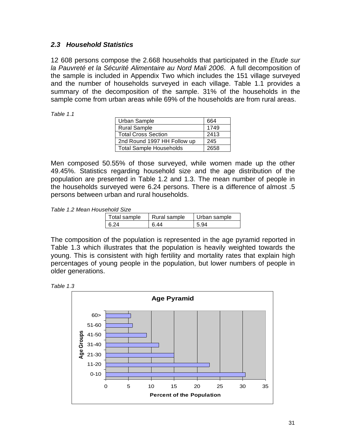#### *2.3 Household Statistics*

12 608 persons compose the 2.668 households that participated in the *Etude sur la Pauvreté et la Sécurité Alimentaire au Nord Mali 2006*. A full decomposition of the sample is included in Appendix Two which includes the 151 village surveyed and the number of households surveyed in each village. Table 1.1 provides a summary of the decomposition of the sample. 31% of the households in the sample come from urban areas while 69% of the households are from rural areas.

*Table 1.1* 

| Urban Sample                   | 664  |
|--------------------------------|------|
| <b>Rural Sample</b>            | 1749 |
| <b>Total Cross Section</b>     | 2413 |
| 2nd Round 1997 HH Follow up    | 245  |
| <b>Total Sample Households</b> | 2658 |

Men composed 50.55% of those surveyed, while women made up the other 49.45%. Statistics regarding household size and the age distribution of the population are presented in Table 1.2 and 1.3. The mean number of people in the households surveyed were 6.24 persons. There is a difference of almost .5 persons between urban and rural households.

*Table 1.2 Mean Household Size* 

| Total sample | Rural sample | Urban sample |
|--------------|--------------|--------------|
| l 6 24       | 6 44         | 5.94         |

The composition of the population is represented in the age pyramid reported in Table 1.3 which illustrates that the population is heavily weighted towards the young. This is consistent with high fertility and mortality rates that explain high percentages of young people in the population, but lower numbers of people in older generations.



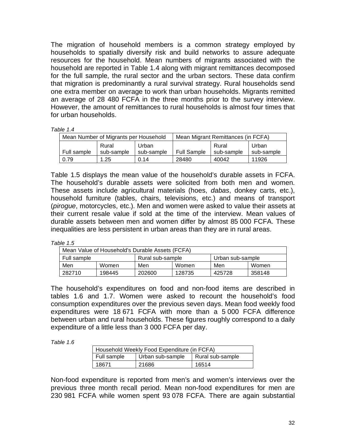The migration of household members is a common strategy employed by households to spatially diversify risk and build networks to assure adequate resources for the household. Mean numbers of migrants associated with the household are reported in Table 1.4 along with migrant remittances decomposed for the full sample, the rural sector and the urban sectors. These data confirm that migration is predominantly a rural survival strategy. Rural households send one extra member on average to work than urban households. Migrants remitted an average of 28 480 FCFA in the three months prior to the survey interview. However, the amount of remittances to rural households is almost four times that for urban households.

*Table 1.4*

| Mean Number of Migrants per Household |                     |                     | Mean Migrant Remittances (in FCFA) |                     |                     |
|---------------------------------------|---------------------|---------------------|------------------------------------|---------------------|---------------------|
| Full sample                           | Rural<br>sub-sample | Urban<br>sub-sample | <b>Full Sample</b>                 | Rural<br>sub-sample | Urban<br>sub-sample |
| 0.79                                  | 1.25                | 0.14                | 28480                              | 40042               | 11926               |

Table 1.5 displays the mean value of the household's durable assets in FCFA. The household's durable assets were solicited from both men and women. These assets include agricultural materials (hoes, *dabas*, donkey carts, etc.), household furniture (tables, chairs, televisions, etc.) and means of transport (*pirogue*, motorcycles, etc.). Men and women were asked to value their assets at their current resale value if sold at the time of the interview. Mean values of durable assets between men and women differ by almost 85 000 FCFA. These inequalities are less persistent in urban areas than they are in rural areas.

*Table 1.5* 

| Mean Value of Household's Durable Assets (FCFA) |        |                  |        |                  |        |
|-------------------------------------------------|--------|------------------|--------|------------------|--------|
| Full sample                                     |        | Rural sub-sample |        | Urban sub-sample |        |
| Men                                             | Women  | Men              | Women  | Men              | Women  |
| 282710                                          | 198445 | 202600           | 128735 | 425728           | 358148 |

The household's expenditures on food and non-food items are described in tables 1.6 and 1.7. Women were asked to recount the household's food consumption expenditures over the previous seven days. Mean food weekly food expenditures were 18 671 FCFA with more than a 5 000 FCFA difference between urban and rural households. These figures roughly correspond to a daily expenditure of a little less than 3 000 FCFA per day.

*Table 1.6* 

| Household Weekly Food Expenditure (in FCFA) |                  |                  |  |  |
|---------------------------------------------|------------------|------------------|--|--|
| Full sample                                 | Urban sub-sample | Rural sub-sample |  |  |
| 18671                                       | 21686            | 16514            |  |  |

Non-food expenditure is reported from men's and women's interviews over the previous three month recall period. Mean non-food expenditures for men are 230 981 FCFA while women spent 93 078 FCFA. There are again substantial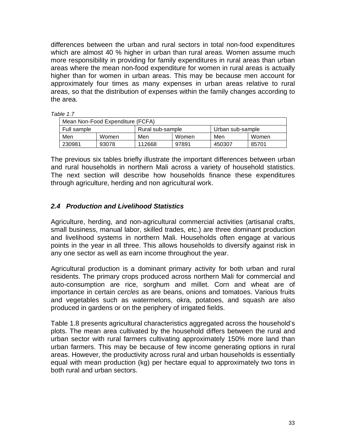differences between the urban and rural sectors in total non-food expenditures which are almost 40 % higher in urban than rural areas. Women assume much more responsibility in providing for family expenditures in rural areas than urban areas where the mean non-food expenditure for women in rural areas is actually higher than for women in urban areas. This may be because men account for approximately four times as many expenses in urban areas relative to rural areas, so that the distribution of expenses within the family changes according to the area.

*Table 1.7*

| Mean Non-Food Expenditure (FCFA) |       |                  |       |                  |       |
|----------------------------------|-------|------------------|-------|------------------|-------|
| Full sample                      |       | Rural sub-sample |       | Urban sub-sample |       |
| Men                              | Women | Men              | Women | Men              | Women |
| 230981                           | 93078 | 112668           | 97891 | 450307           | 85701 |

The previous six tables briefly illustrate the important differences between urban and rural households in northern Mali across a variety of household statistics. The next section will describe how households finance these expenditures through agriculture, herding and non agricultural work.

#### *2.4 Production and Livelihood Statistics*

Agriculture, herding, and non-agricultural commercial activities (artisanal crafts, small business, manual labor, skilled trades, etc.) are three dominant production and livelihood systems in northern Mali. Households often engage at various points in the year in all three. This allows households to diversify against risk in any one sector as well as earn income throughout the year.

Agricultural production is a dominant primary activity for both urban and rural residents. The primary crops produced across northern Mali for commercial and auto-consumption are rice, sorghum and millet. Corn and wheat are of importance in certain *cercles* as are beans, onions and tomatoes. Various fruits and vegetables such as watermelons, okra, potatoes, and squash are also produced in gardens or on the periphery of irrigated fields.

Table 1.8 presents agricultural characteristics aggregated across the household's plots. The mean area cultivated by the household differs between the rural and urban sector with rural farmers cultivating approximately 150% more land than urban farmers. This may be because of few income generating options in rural areas. However, the productivity across rural and urban households is essentially equal with mean production (kg) per hectare equal to approximately two tons in both rural and urban sectors.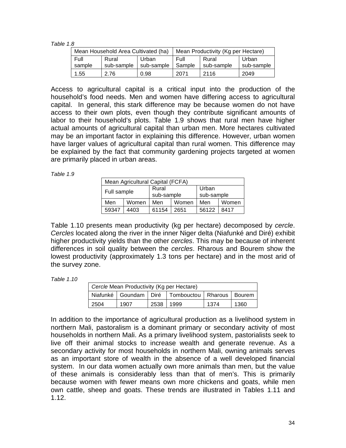*Table 1.8* 

| Mean Household Area Cultivated (ha) |            |            | Mean Productivity (Kg per Hectare) |            |            |
|-------------------------------------|------------|------------|------------------------------------|------------|------------|
| Full                                | Rural      | Urban      | Full                               | Rural      | Urban      |
| sample                              | sub-sample | sub-sample | Sample                             | sub-sample | sub-sample |
| 1.55                                | 2.76       | 0.98       | 2071                               | 2116       | 2049       |

Access to agricultural capital is a critical input into the production of the household's food needs. Men and women have differing access to agricultural capital. In general, this stark difference may be because women do not have access to their own plots, even though they contribute significant amounts of labor to their household's plots. Table 1.9 shows that rural men have higher actual amounts of agricultural capital than urban men. More hectares cultivated may be an important factor in explaining this difference. However, urban women have larger values of agricultural capital than rural women. This difference may be explained by the fact that community gardening projects targeted at women are primarily placed in urban areas.

*Table 1.9* 

| Mean Agricultural Capital (FCFA) |       |                     |       |                     |       |
|----------------------------------|-------|---------------------|-------|---------------------|-------|
| Full sample                      |       | Rural<br>sub-sample |       | Urban<br>sub-sample |       |
| Men                              | Women | Men                 | Women | Men                 | Women |
| 59347                            | 4403  | 61154               | 2651  | 56122               | 8417  |

Table 1.10 presents mean productivity (kg per hectare) decomposed by *cercle*. *Cercles* located along the river in the inner Niger delta (Niafunké and Diré) exhibit higher productivity yields than the other *cercles*. This may be because of inherent differences in soil quality between the *cercles*. Rharous and Bourem show the lowest productivity (approximately 1.3 tons per hectare) and in the most arid of the survey zone.

*Table 1.10* 

| Cercle Mean Productivity (Kg per Hectare) |      |           |                                                           |      |      |
|-------------------------------------------|------|-----------|-----------------------------------------------------------|------|------|
|                                           |      |           | Niafunké   Goundam   Diré   Tombouctou   Rharous   Bourem |      |      |
| 2504                                      | 1907 | 2538 1999 |                                                           | 1374 | 1360 |

In addition to the importance of agricultural production as a livelihood system in northern Mali, pastoralism is a dominant primary or secondary activity of most households in northern Mali. As a primary livelihood system, pastorialists seek to live off their animal stocks to increase wealth and generate revenue. As a secondary activity for most households in northern Mali, owning animals serves as an important store of wealth in the absence of a well developed financial system. In our data women actually own more animals than men, but the value of these animals is considerably less than that of men's. This is primarily because women with fewer means own more chickens and goats, while men own cattle, sheep and goats. These trends are illustrated in Tables 1.11 and 1.12.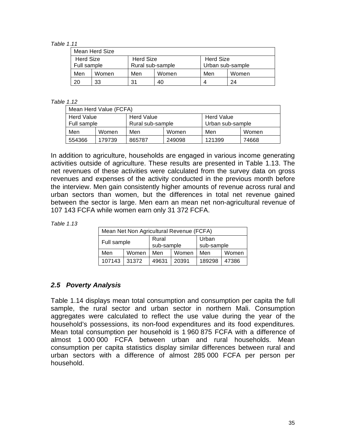*Table 1.11* 

| Mean Herd Size                                           |       |                  |       |                  |       |  |
|----------------------------------------------------------|-------|------------------|-------|------------------|-------|--|
| <b>Herd Size</b><br><b>Herd Size</b><br><b>Herd Size</b> |       |                  |       |                  |       |  |
| Full sample                                              |       | Rural sub-sample |       | Urban sub-sample |       |  |
| Men                                                      | Women | Men              | Women | Men              | Women |  |
| 20                                                       | 33    | 31               | 40    |                  | 24    |  |

#### *Table 1.12*

| Mean Herd Value (FCFA)                 |                  |        |                  |            |       |
|----------------------------------------|------------------|--------|------------------|------------|-------|
| <b>Herd Value</b><br><b>Herd Value</b> |                  |        |                  | Herd Value |       |
| Full sample                            | Rural sub-sample |        | Urban sub-sample |            |       |
| Men                                    | Women            | Men    | Women            | Men        | Women |
| 554366                                 | 179739           | 865787 | 249098           | 121399     | 74668 |

In addition to agriculture, households are engaged in various income generating activities outside of agriculture. These results are presented in Table 1.13. The net revenues of these activities were calculated from the survey data on gross revenues and expenses of the activity conducted in the previous month before the interview. Men gain consistently higher amounts of revenue across rural and urban sectors than women, but the differences in total net revenue gained between the sector is large. Men earn an mean net non-agricultural revenue of 107 143 FCFA while women earn only 31 372 FCFA.

| Table 1.13 |
|------------|
|------------|

| Mean Net Non Agricultural Revenue (FCFA) |       |                     |       |                     |       |
|------------------------------------------|-------|---------------------|-------|---------------------|-------|
| Full sample                              |       | Rural<br>sub-sample |       | Urban<br>sub-sample |       |
| Men                                      | Women | Men                 | Women | Men                 | Women |
| 107143 31372                             |       | 49631               | 20391 | 189298              | 47386 |

#### *2.5 Poverty Analysis*

Table 1.14 displays mean total consumption and consumption per capita the full sample, the rural sector and urban sector in northern Mali. Consumption aggregates were calculated to reflect the use value during the year of the household's possessions, its non-food expenditures and its food expenditures. Mean total consumption per household is 1 960 875 FCFA with a difference of almost 1 000 000 FCFA between urban and rural households. Mean consumption per capita statistics display similar differences between rural and urban sectors with a difference of almost 285 000 FCFA per person per household.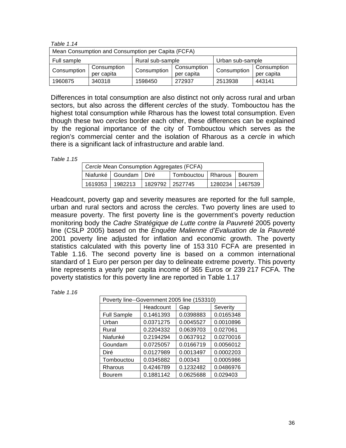| 1 <i>au</i> - 11.14                                 |                           |             |                           |             |                           |  |
|-----------------------------------------------------|---------------------------|-------------|---------------------------|-------------|---------------------------|--|
| Mean Consumption and Consumption per Capita (FCFA)  |                           |             |                           |             |                           |  |
| Urban sub-sample<br>Rural sub-sample<br>Full sample |                           |             |                           |             |                           |  |
| Consumption                                         | Consumption<br>per capita | Consumption | Consumption<br>per capita | Consumption | Consumption<br>per capita |  |
| 1960875                                             | 340318                    | 1598450     | 272937                    | 2513938     | 443141                    |  |

Differences in total consumption are also distinct not only across rural and urban sectors, but also across the different *cercles* of the study. Tombouctou has the highest total consumption while Rharous has the lowest total consumption. Even though these two *cercles* border each other, these differences can be explained by the regional importance of the city of Tombouctou which serves as the region's commercial center and the isolation of Rharous as a *cercle* in which there is a significant lack of infrastructure and arable land.

*Table 1.15* 

*Table 1.14* 

| Cercle Mean Consumption Aggregates (FCFA) |                                       |  |                               |                 |  |
|-------------------------------------------|---------------------------------------|--|-------------------------------|-----------------|--|
|                                           | Niafunké   Goundam   Diré             |  | Tombouctou   Rharous   Bourem |                 |  |
|                                           | 1619353   1982213   1829792   2527745 |  |                               | 1280234 1467539 |  |

Headcount, poverty gap and severity measures are reported for the full sample, urban and rural sectors and across the *cercles*. Two poverty lines are used to measure poverty. The first poverty line is the government's poverty reduction monitoring body the *Cadre Stratégique de Lutte contre la Pauvreté* 2005 poverty line (CSLP 2005) based on the *Enquête Malienne d'Evaluation de la Pauvreté* 2001 poverty line adjusted for inflation and economic growth. The poverty statistics calculated with this poverty line of 153 310 FCFA are presented in Table 1.16. The second poverty line is based on a common international standard of 1 Euro per person per day to delineate extreme poverty. This poverty line represents a yearly per capita income of 365 Euros or 239 217 FCFA. The poverty statistics for this poverty line are reported in Table 1.17

| Poverty line--Government 2005 line (153310) |           |           |           |  |  |
|---------------------------------------------|-----------|-----------|-----------|--|--|
|                                             | Headcount | Gap       | Severity  |  |  |
| <b>Full Sample</b>                          | 0.1461393 | 0.0398883 | 0.0165348 |  |  |
| Urban                                       | 0.0371275 | 0.0045527 | 0.0010896 |  |  |
| Rural                                       | 0.2204332 | 0.0639703 | 0.027061  |  |  |
| Niafunké                                    | 0.2194294 | 0.0637912 | 0.0270016 |  |  |
| Goundam                                     | 0.0725057 | 0.0166719 | 0.0056012 |  |  |
| Diré                                        | 0.0127989 | 0.0013497 | 0.0002203 |  |  |
| Tombouctou                                  | 0.0345882 | 0.00343   | 0.0005986 |  |  |
| Rharous                                     | 0.4246789 | 0.1232482 | 0.0486976 |  |  |
| Bourem                                      | 0.1881142 | 0.0625688 | 0.029403  |  |  |

*Table 1.16*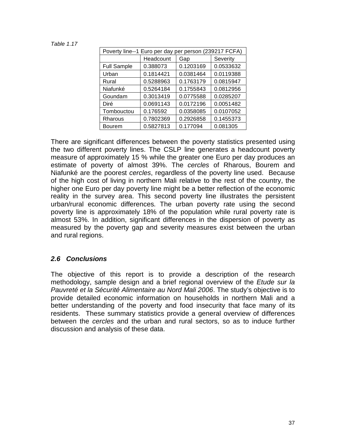*Table 1.17* 

| Poverty line--1 Euro per day per person (239217 FCFA) |           |           |           |  |  |
|-------------------------------------------------------|-----------|-----------|-----------|--|--|
|                                                       | Headcount | Gap       | Severity  |  |  |
| <b>Full Sample</b>                                    | 0.388073  | 0.1203169 | 0.0533632 |  |  |
| Urban                                                 | 0.1814421 | 0.0381464 | 0.0119388 |  |  |
| Rural                                                 | 0.5288963 | 0.1763179 | 0.0815947 |  |  |
| Niafunké                                              | 0.5264184 | 0.1755843 | 0.0812956 |  |  |
| Goundam                                               | 0.3013419 | 0.0775588 | 0.0285207 |  |  |
| Diré                                                  | 0.0691143 | 0.0172196 | 0.0051482 |  |  |
| Tombouctou                                            | 0.176592  | 0.0358085 | 0.0107052 |  |  |
| Rharous                                               | 0.7802369 | 0.2926858 | 0.1455373 |  |  |
| Bourem                                                | 0.5827813 | 0.177094  | 0.081305  |  |  |

There are significant differences between the poverty statistics presented using the two different poverty lines. The CSLP line generates a headcount poverty measure of approximately 15 % while the greater one Euro per day produces an estimate of poverty of almost 39%. The *cercles* of Rharous, Bourem and Niafunké are the poorest *cercles*, regardless of the poverty line used. Because of the high cost of living in northern Mali relative to the rest of the country, the higher one Euro per day poverty line might be a better reflection of the economic reality in the survey area. This second poverty line illustrates the persistent urban/rural economic differences. The urban poverty rate using the second poverty line is approximately 18% of the population while rural poverty rate is almost 53%. In addition, significant differences in the dispersion of poverty as measured by the poverty gap and severity measures exist between the urban and rural regions.

#### *2.6 Conclusions*

The objective of this report is to provide a description of the research methodology, sample design and a brief regional overview of the *Etude sur la Pauvreté et la Sécurité Alimentaire au Nord Mali 2006*. The study's objective is to provide detailed economic information on households in northern Mali and a better understanding of the poverty and food insecurity that face many of its residents. These summary statistics provide a general overview of differences between the *cercles* and the urban and rural sectors, so as to induce further discussion and analysis of these data.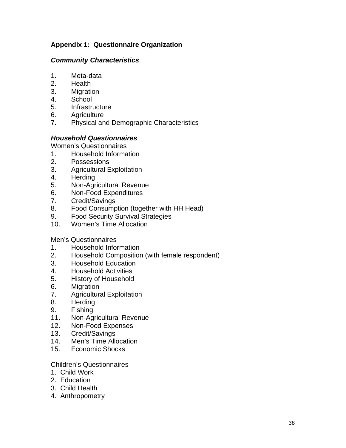#### **Appendix 1: Questionnaire Organization**

#### *Community Characteristics*

- 1. Meta-data
- 2. Health
- 3. Migration
- 4. School
- 5. Infrastructure
- 6. Agriculture
- 7. Physical and Demographic Characteristics

#### *Household Questionnaires*

Women's Questionnaires

- 1. Household Information
- 2. Possessions
- 3. Agricultural Exploitation
- 4. Herding
- 5. Non-Agricultural Revenue
- 6. Non-Food Expenditures
- 7. Credit/Savings
- 8. Food Consumption (together with HH Head)
- 9. Food Security Survival Strategies
- 10. Women's Time Allocation

#### Men's Questionnaires

- 1. Household Information
- 2. Household Composition (with female respondent)
- 3. Household Education
- 4. Household Activities
- 5. History of Household
- 6. Migration
- 7. Agricultural Exploitation
- 8. Herding
- 9. Fishing
- 11. Non-Agricultural Revenue
- 12. Non-Food Expenses
- 13. Credit/Savings
- 14. Men's Time Allocation
- 15. Economic Shocks

#### Children's Questionnaires

- 1. Child Work
- 2. Education
- 3. Child Health
- 4. Anthropometry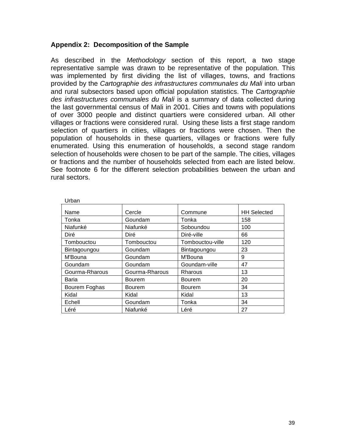#### **Appendix 2: Decomposition of the Sample**

As described in the *Methodology* section of this report, a two stage representative sample was drawn to be representative of the population. This was implemented by first dividing the list of villages, towns, and fractions provided by the *Cartographie des infrastructures communales du Mali* into urban and rural subsectors based upon official population statistics. The *Cartographie des infrastructures communales du Mali* is a summary of data collected during the last governmental census of Mali in 2001. Cities and towns with populations of over 3000 people and distinct quartiers were considered urban. All other villages or fractions were considered rural. Using these lists a first stage random selection of quartiers in cities, villages or fractions were chosen. Then the population of households in these quartiers, villages or fractions were fully enumerated. Using this enumeration of households, a second stage random selection of households were chosen to be part of the sample. The cities, villages or fractions and the number of households selected from each are listed below. See footnote 6 for the different selection probabilities between the urban and rural sectors.

| Urban          |                |                  |                    |
|----------------|----------------|------------------|--------------------|
| Name           | Cercle         | Commune          | <b>HH Selected</b> |
| Tonka          | Goundam        | Tonka            | 158                |
| Niafunké       | Niafunké       | Soboundou        | 100                |
| Diré           | Diré           | Diré-ville       | 66                 |
| Tombouctou     | Tombouctou     | Tombouctou-ville | 120                |
| Bintagoungou   | Goundam        | Bintagoungou     | 23                 |
| M'Bouna        | Goundam        | M'Bouna          | 9                  |
| Goundam        | Goundam        | Goundam-ville    | 47                 |
| Gourma-Rharous | Gourma-Rharous | Rharous          | 13                 |
| <b>Baria</b>   | <b>Bourem</b>  | <b>Bourem</b>    | 20                 |
| Bourem Foghas  | <b>Bourem</b>  | <b>Bourem</b>    | 34                 |
| Kidal          | Kidal          | Kidal            | 13                 |
| Echell         | Goundam        | Tonka            | 34                 |
| Léré           | Niafunké       | Léré             | 27                 |

| ۰.                 | ٠       |
|--------------------|---------|
|                    |         |
| I<br>۰.<br>×<br>M. | ۰.<br>× |
|                    |         |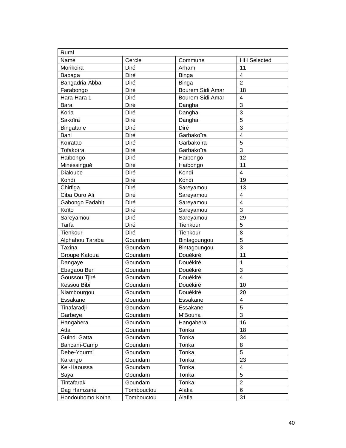| Rural            |            |                  |                         |
|------------------|------------|------------------|-------------------------|
| Name             | Cercle     | Commune          | <b>HH Selected</b>      |
| Morikoira        | Diré       | Arham            | 11                      |
| Babaga           | Diré       | <b>Binga</b>     | 4                       |
| Bangadria-Abba   | Diré       | <b>Binga</b>     | $\overline{2}$          |
| Farabongo        | Diré       | Bourem Sidi Amar | 18                      |
| Hara-Hara 1      | Diré       | Bourem Sidi Amar | 4                       |
| Bara             | Diré       | Dangha           | 3                       |
| Koria            | Diré       | Dangha           | 3                       |
| Sakoïra          | Diré       | Dangha           | 5                       |
| Bingatane        | Diré       | Diré             | 3                       |
| Bani             | Diré       | Garbakoïra       | 4                       |
| Koïratao         | Diré       | Garbakoïra       | 5                       |
| Tofakoïra        | Diré       | Garbakoïra       | 3                       |
| Haïbongo         | Diré       | Haïbongo         | 12                      |
| Minessingué      | Diré       | Haïbongo         | 11                      |
| Dialoube         | Diré       | Kondi            | $\overline{4}$          |
| Kondi            | Diré       | Kondi            | 19                      |
| Chirfiga         | Diré       | Sareyamou        | 13                      |
| Ciba Ouro Ali    | Diré       | Sareyamou        | 4                       |
| Gabongo Fadahit  | Diré       | Sareyamou        | $\overline{4}$          |
| Koïto            | Diré       | Sareyamou        | 3                       |
| Sareyamou        | Diré       | Sareyamou        | 29                      |
| Tarfa            | Diré       | Tienkour         | 5                       |
| Tienkour         | Diré       | Tienkour         | 8                       |
| Alphahou Taraba  | Goundam    | Bintagoungou     | 5                       |
| Taxina           | Goundam    | Bintagoungou     | 3                       |
| Groupe Katoua    | Goundam    | Douékiré         | 11                      |
| Dangaye          | Goundam    | Douékiré         | 1                       |
| Ebagaou Beri     | Goundam    | Douékiré         | 3                       |
| Goussou Tjiré    | Goundam    | Douékiré         | $\overline{\mathbf{4}}$ |
| Kessou Bibi      | Goundam    | Douékiré         | 10                      |
| Niambourgou      | Goundam    | Douékiré         | 20                      |
| Essakane         | Goundam    | Essakane         | 4                       |
| Tinafaradji      | Goundam    | Essakane         | 5                       |
| Garbeye          | Goundam    | M'Bouna          | 3                       |
| Hangabera        | Goundam    | Hangabera        | 16                      |
| Atta             | Goundam    | Tonka            | 18                      |
| Guindi Gatta     | Goundam    | Tonka            | 34                      |
| Bancani-Camp     | Goundam    | Tonka            | 8                       |
| Debe-Yourmi      | Goundam    | Tonka            | 5                       |
| Karango          | Goundam    | Tonka            | 23                      |
| Kel-Haoussa      | Goundam    | Tonka            | 4                       |
| Saya             | Goundam    | Tonka            | 5                       |
| Tintafarak       | Goundam    | Tonka            | $\overline{2}$          |
| Dag Hamzane      | Tombouctou | Alafia           | 6                       |
| Hondoubomo Koïna | Tombouctou | Alafia           | 31                      |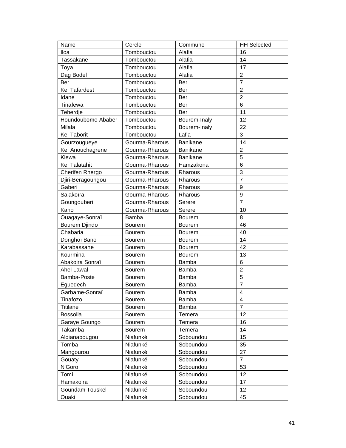| Name                 | Cercle         | Commune         | <b>HH Selected</b> |
|----------------------|----------------|-----------------|--------------------|
| lloa                 | Tombouctou     | Alafia          | 16                 |
| Tassakane            | Tombouctou     | Alafia          | 14                 |
| Toya                 | Tombouctou     | Alafia          | 17                 |
| Dag Bodel            | Tombouctou     | Alafia          | $\overline{c}$     |
| Ber                  | Tombouctou     | Ber             | $\overline{7}$     |
| <b>Kel Tafardest</b> | Tombouctou     | Ber             | $\overline{2}$     |
| Idane                | Tombouctou     | Ber             | $\overline{2}$     |
| Tinafewa             | Tombouctou     | Ber             | 6                  |
| Teherdje             | Tombouctou     | Ber             | 11                 |
| Houndoubomo Ababer   | Tombouctou     | Bourem-Inaly    | 12                 |
| Milala               | Tombouctou     | Bourem-Inaly    | 22                 |
| <b>Kel Taborit</b>   | Tombouctou     | Lafia           | 3                  |
| Gourzougueye         | Gourma-Rharous | Banikane        | 14                 |
| Kel Anouchagrene     | Gourma-Rharous | <b>Banikane</b> | $\overline{2}$     |
| Kiewa                | Gourma-Rharous | <b>Banikane</b> | 5                  |
| <b>Kel Talatahit</b> | Gourma-Rharous | Hamzakona       | 6                  |
| Cherifen Rhergo      | Gourma-Rharous | Rharous         | 3                  |
| Djiri-Beragoungou    | Gourma-Rharous | Rharous         | $\overline{7}$     |
| Gaberi               | Gourma-Rharous | Rharous         | 9                  |
| Salakoïra            | Gourma-Rharous | Rharous         | 9                  |
| Goungouberi          | Gourma-Rharous | Serere          | $\overline{7}$     |
| Kano                 | Gourma-Rharous | Serere          | 10                 |
| Ouagaye-Sonraï       | Bamba          | Bourem          | 8                  |
| <b>Bourem Djindo</b> | <b>Bourem</b>  | <b>Bourem</b>   | 46                 |
| Chabaria             | <b>Bourem</b>  | <b>Bourem</b>   | 40                 |
| Donghoï Bano         | <b>Bourem</b>  | <b>Bourem</b>   | 14                 |
| Karabassane          | <b>Bourem</b>  | <b>Bourem</b>   | 42                 |
| Kourmina             | Bourem         | <b>Bourem</b>   | 13                 |
| Abakoira Sonraï      | Bourem         | Bamba           | 6                  |
| <b>Ahel Lawal</b>    | <b>Bourem</b>  | Bamba           | $\overline{2}$     |
| Bamba-Poste          | <b>Bourem</b>  | Bamba           | 5                  |
| Eguedech             | Bourem         | Bamba           | 7                  |
| Garbame-Sonraï       | Bourem         | <b>Bamba</b>    | 4                  |
| Tinafozo             | <b>Bourem</b>  | Bamba           | 4                  |
| <b>Titilane</b>      | Bourem         | Bamba           | $\overline{7}$     |
| Bossolia             | Bourem         | Temera          | 12                 |
| Garaye Goungo        | <b>Bourem</b>  | Temera          | 16                 |
| Takamba              | Bourem         | Temera          | 14                 |
| Aldianabougou        | Niafunké       | Soboundou       | 15                 |
| Tomba                | Niafunké       | Soboundou       | 35                 |
| Mangourou            | Niafunké       | Soboundou       | 27                 |
| Gouaty               | Niafunké       | Soboundou       | $\overline{7}$     |
| N'Goro               | Niafunké       | Soboundou       | 53                 |
| Tomi                 | Niafunké       | Soboundou       | 12                 |
| Hamakoira            | Niafunké       | Soboundou       | 17                 |
| Goundam Touskel      | Niafunké       | Soboundou       | 12                 |
| Ouaki                | Niafunké       | Soboundou       | 45                 |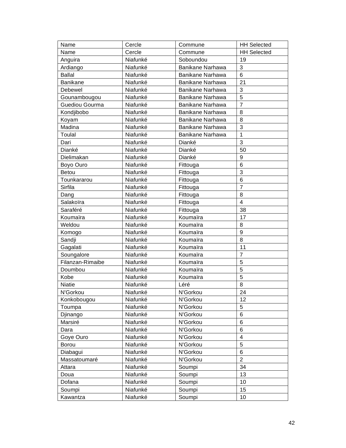| Name             | Cercle   | Commune          | <b>HH Selected</b> |
|------------------|----------|------------------|--------------------|
| Name             | Cercle   | Commune          | <b>HH Selected</b> |
| Anguira          | Niafunké | Soboundou        | 19                 |
| Ardiango         | Niafunké | Banikane Narhawa | 3                  |
| <b>Ballal</b>    | Niafunké | Banikane Narhawa | 6                  |
| <b>Banikane</b>  | Niafunké | Banikane Narhawa | 21                 |
| Debewel          | Niafunké | Banikane Narhawa | 3                  |
| Gounambougou     | Niafunké | Banikane Narhawa | 5                  |
| Guediou Gourma   | Niafunké | Banikane Narhawa | $\overline{7}$     |
| Kondjibobo       | Niafunké | Banikane Narhawa | 8                  |
| Koyam            | Niafunké | Banikane Narhawa | 8                  |
| Madina           | Niafunké | Banikane Narhawa | 3                  |
| Toulal           | Niafunké | Banikane Narhawa | $\mathbf{1}$       |
| Dari             | Niafunké | Dianké           | 3                  |
| Dianké           | Niafunké | Dianké           | 50                 |
| Dielimakan       | Niafunké | Dianké           | 9                  |
| Boyo Ouro        | Niafunké | Fittouga         | 6                  |
| <b>Betou</b>     | Niafunké | Fittouga         | 3                  |
| Tounkararou      | Niafunké | Fittouga         | 6                  |
| Sirfila          | Niafunké | Fittouga         | 7                  |
| Dang             | Niafunké | Fittouga         | 8                  |
| Salakoïra        | Niafunké | Fittouga         | $\overline{4}$     |
| Saraféré         | Niafunké | Fittouga         | 38                 |
| Koumaïra         | Niafunké | Koumaïra         | 17                 |
| Weldou           | Niafunké | Koumaïra         | 8                  |
| Komogo           | Niafunké | Koumaïra         | 9                  |
| Sandji           | Niafunké | Koumaïra         | 8                  |
| Gagalati         | Niafunké | Koumaïra         | 11                 |
| Soungalore       | Niafunké | Koumaïra         | $\overline{7}$     |
| Filanzan-Rimaibe | Niafunké | Koumaïra         | 5                  |
| Doumbou          | Niafunké | Koumaïra         | 5                  |
| Kobe             | Niafunké | Koumaïra         | 5                  |
| <b>Niatie</b>    | Niafunké | Léré             | 8                  |
| N'Gorkou         | Niafunké | N'Gorkou         | 24                 |
| Konkobougou      | Niafunké | N'Gorkou         | 12                 |
| Toumpa           | Niafunké | N'Gorkou         | 5                  |
| Djinango         | Niafunké | N'Gorkou         | 6                  |
| Marsiré          | Niafunké | N'Gorkou         | 6                  |
| Dara             | Niafunké | N'Gorkou         | 6                  |
| Goye Ouro        | Niafunké | N'Gorkou         | 4                  |
| Borou            | Niafunké | N'Gorkou         | 5                  |
| Diabagui         | Niafunké | N'Gorkou         | 6                  |
| Massatoumaré     | Niafunké | N'Gorkou         | $\overline{c}$     |
| Attara           | Niafunké | Soumpi           | 34                 |
| Doua             | Niafunké | Soumpi           | 13                 |
| Dofana           | Niafunké | Soumpi           | 10                 |
| Soumpi           | Niafunké | Soumpi           | 15                 |
| Kawantza         | Niafunké | Soumpi           | 10                 |
|                  |          |                  |                    |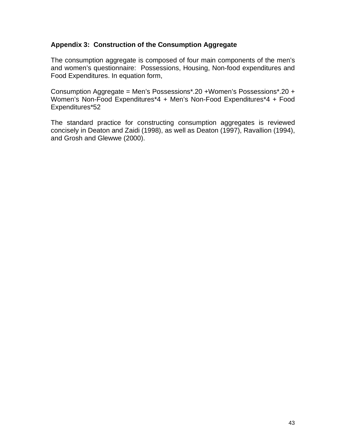#### **Appendix 3: Construction of the Consumption Aggregate**

The consumption aggregate is composed of four main components of the men's and women's questionnaire: Possessions, Housing, Non-food expenditures and Food Expenditures. In equation form,

Consumption Aggregate = Men's Possessions\*.20 +Women's Possessions\*.20 + Women's Non-Food Expenditures\*4 + Men's Non-Food Expenditures\*4 + Food Expenditures\*52

The standard practice for constructing consumption aggregates is reviewed concisely in Deaton and Zaidi (1998), as well as Deaton (1997), Ravallion (1994), and Grosh and Glewwe (2000).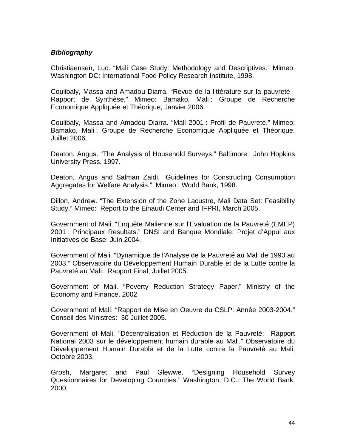#### *Bibliography*

Christiaensen, Luc. "Mali Case Study: Methodology and Descriptives." Mimeo: Washington DC: International Food Policy Research Institute, 1998.

Coulibaly, Massa and Amadou Diarra. "Revue de la littérature sur la pauvreté - Rapport de Synthèse." Mimeo: Bamako, Mali : Groupe de Recherche Economique Appliquée et Théorique, Janvier 2006.

Coulibaly, Massa and Amadou Diarra. "Mali 2001 : Profil de Pauvreté." Mimeo: Bamako, Mali : Groupe de Recherche Economique Appliquée et Théorique, Juillet 2006.

Deaton, Angus. "The Analysis of Household Surveys." Baltimore : John Hopkins University Press, 1997.

Deaton, Angus and Salman Zaidi. "Guidelines for Constructing Consumption Aggregates for Welfare Analysis." Mimeo : World Bank, 1998.

Dillon, Andrew. "The Extension of the Zone Lacustre, Mali Data Set: Feasibility Study." Mimeo: Report to the Einaudi Center and IFPRI, March 2005.

Government of Mali. "Enquête Malienne sur l'Evaluation de la Pauvreté (EMEP) 2001 : Principaux Resultats." DNSI and Banque Mondiale: Projet d'Appui aux Initiatives de Base: Juin 2004.

Government of Mali. "Dynamique de l'Analyse de la Pauvreté au Mali de 1993 au 2003." Observatoire du Développement Humain Durable et de la Lutte contre la Pauvreté au Mali: Rapport Final, Juillet 2005.

Government of Mali. "Poverty Reduction Strategy Paper." Ministry of the Economy and Finance, 2002

Government of Mali. "Rapport de Mise en Oeuvre du CSLP: Année 2003-2004." Conseil des Ministres: 30 Juillet 2005.

Government of Mali. "Décentralisation et Réduction de la Pauvreté: Rapport National 2003 sur le développement humain durable au Mali." Observatoire du Développement Humain Durable et de la Lutte contre la Pauvreté au Mali, Octobre 2003.

Grosh, Margaret and Paul Glewwe. "Designing Household Survey Questionnaires for Developing Countries." Washington, D.C.: The World Bank, 2000.